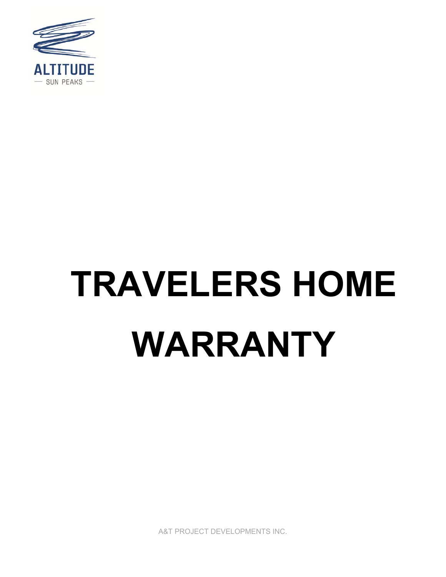

# **TRAVELERS HOME WARRANTY**

A&T PROJECT DEVELOPMENTS INC.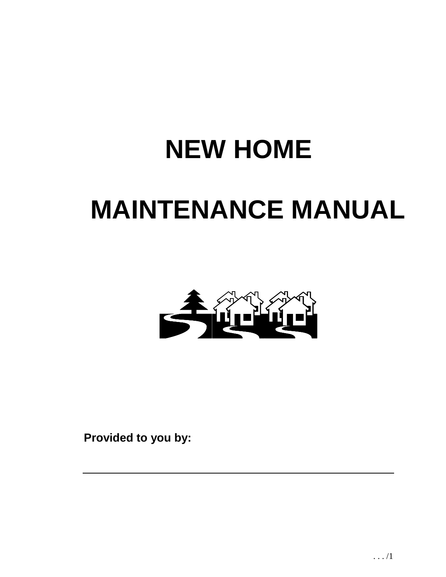# **NEW HOME MAINTENANCE MANUAL**



**Provided to you by:**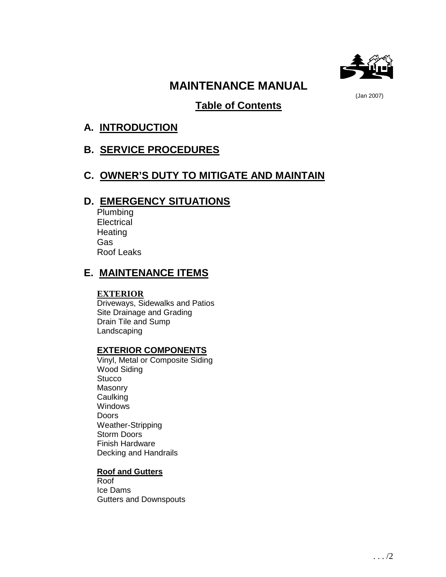

# **MAINTENANCE MANUAL**

(Jan 2007)

# **Table of Contents**

# **A. INTRODUCTION**

# **B. SERVICE PROCEDURES**

# **C. OWNER'S DUTY TO MITIGATE AND MAINTAIN**

# **D. EMERGENCY SITUATIONS**

Plumbing **Electrical Heating** Gas Roof Leaks

# **E. MAINTENANCE ITEMS**

# **EXTERIOR**

Driveways, Sidewalks and Patios Site Drainage and Grading Drain Tile and Sump Landscaping

# **EXTERIOR COMPONENTS**

Vinyl, Metal or Composite Siding Wood Siding **Stucco** Masonry Caulking **Windows Doors** Weather-Stripping Storm Doors Finish Hardware Decking and Handrails

# **Roof and Gutters**

Roof Ice Dams Gutters and Downspouts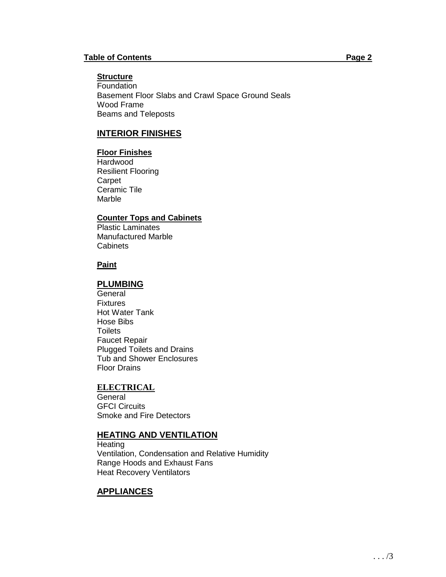## **Structure**

Foundation Basement Floor Slabs and Crawl Space Ground Seals Wood Frame Beams and Teleposts

# **INTERIOR FINISHES**

## **Floor Finishes**

**Hardwood** Resilient Flooring **Carpet** Ceramic Tile Marble

# **Counter Tops and Cabinets**

Plastic Laminates Manufactured Marble **Cabinets** 

## **Paint**

# **PLUMBING**

**General** Fixtures Hot Water Tank Hose Bibs **Toilets** Faucet Repair Plugged Toilets and Drains Tub and Shower Enclosures Floor Drains

# **ELECTRICAL**

**General** GFCI Circuits Smoke and Fire Detectors

# **HEATING AND VENTILATION**

**Heating** Ventilation, Condensation and Relative Humidity Range Hoods and Exhaust Fans Heat Recovery Ventilators

# **APPLIANCES**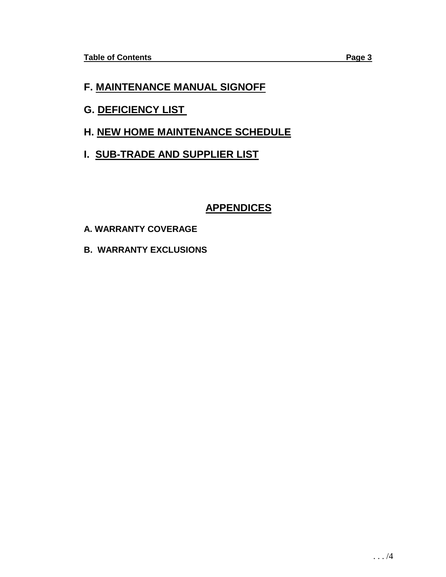# **F. MAINTENANCE MANUAL SIGNOFF**

- **G. DEFICIENCY LIST**
- **H. NEW HOME MAINTENANCE SCHEDULE**
- **I. SUB-TRADE AND SUPPLIER LIST**

# **APPENDICES**

- **A. WARRANTY COVERAGE**
- **B. WARRANTY EXCLUSIONS**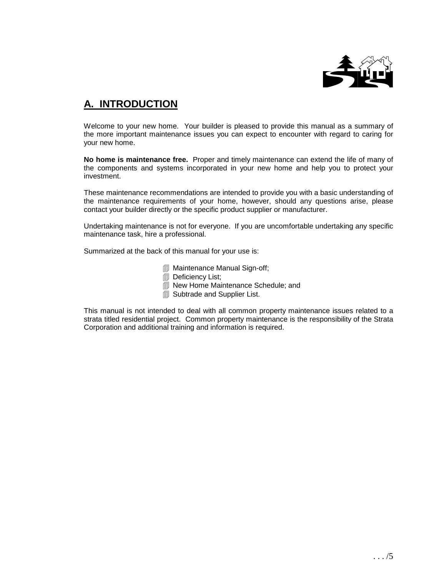

# **A. INTRODUCTION**

Welcome to your new home. Your builder is pleased to provide this manual as a summary of the more important maintenance issues you can expect to encounter with regard to caring for your new home.

**No home is maintenance free.** Proper and timely maintenance can extend the life of many of the components and systems incorporated in your new home and help you to protect your investment.

These maintenance recommendations are intended to provide you with a basic understanding of the maintenance requirements of your home, however, should any questions arise, please contact your builder directly or the specific product supplier or manufacturer.

Undertaking maintenance is not for everyone. If you are uncomfortable undertaking any specific maintenance task, hire a professional.

Summarized at the back of this manual for your use is:

- Maintenance Manual Sign-off;
- **Deficiency List;**
- **New Home Maintenance Schedule; and**
- **Subtrade and Supplier List.**

This manual is not intended to deal with all common property maintenance issues related to a strata titled residential project. Common property maintenance is the responsibility of the Strata Corporation and additional training and information is required.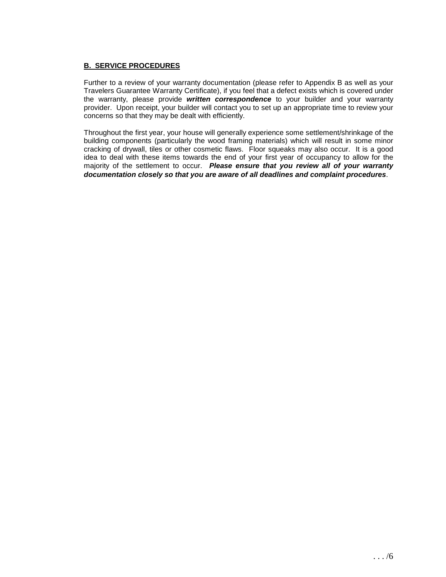#### **B. SERVICE PROCEDURES**

Further to a review of your warranty documentation (please refer to Appendix B as well as your Travelers Guarantee Warranty Certificate), if you feel that a defect exists which is covered under the warranty, please provide **written correspondence** to your builder and your warranty provider. Upon receipt, your builder will contact you to set up an appropriate time to review your concerns so that they may be dealt with efficiently.

Throughout the first year, your house will generally experience some settlement/shrinkage of the building components (particularly the wood framing materials) which will result in some minor cracking of drywall, tiles or other cosmetic flaws. Floor squeaks may also occur. It is a good idea to deal with these items towards the end of your first year of occupancy to allow for the majority of the settlement to occur. **Please ensure that you review all of your warranty documentation closely so that you are aware of all deadlines and complaint procedures**.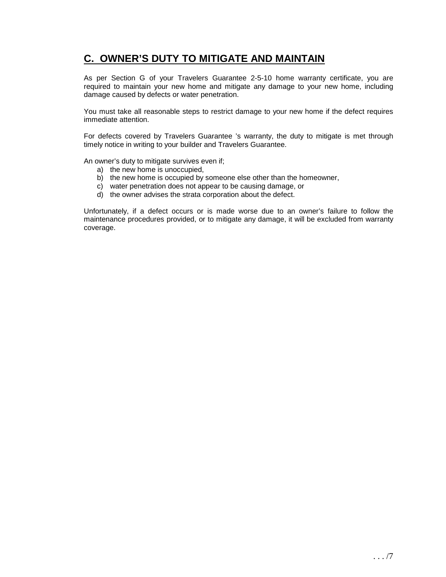# **C. OWNER'S DUTY TO MITIGATE AND MAINTAIN**

As per Section G of your Travelers Guarantee 2-5-10 home warranty certificate, you are required to maintain your new home and mitigate any damage to your new home, including damage caused by defects or water penetration.

You must take all reasonable steps to restrict damage to your new home if the defect requires immediate attention.

For defects covered by Travelers Guarantee 's warranty, the duty to mitigate is met through timely notice in writing to your builder and Travelers Guarantee.

An owner's duty to mitigate survives even if;

- a) the new home is unoccupied,
- b) the new home is occupied by someone else other than the homeowner,
- c) water penetration does not appear to be causing damage, or
- d) the owner advises the strata corporation about the defect.

Unfortunately, if a defect occurs or is made worse due to an owner's failure to follow the maintenance procedures provided, or to mitigate any damage, it will be excluded from warranty coverage.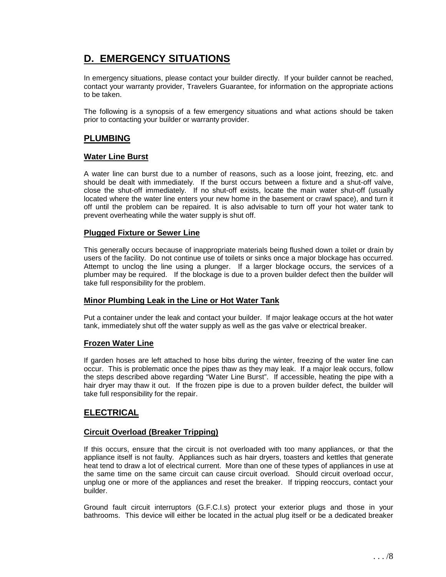# **D. EMERGENCY SITUATIONS**

In emergency situations, please contact your builder directly. If your builder cannot be reached, contact your warranty provider, Travelers Guarantee, for information on the appropriate actions to be taken.

The following is a synopsis of a few emergency situations and what actions should be taken prior to contacting your builder or warranty provider.

# **PLUMBING**

#### **Water Line Burst**

A water line can burst due to a number of reasons, such as a loose joint, freezing, etc. and should be dealt with immediately. If the burst occurs between a fixture and a shut-off valve, close the shut-off immediately. If no shut-off exists, locate the main water shut-off (usually located where the water line enters your new home in the basement or crawl space), and turn it off until the problem can be repaired. It is also advisable to turn off your hot water tank to prevent overheating while the water supply is shut off.

#### **Plugged Fixture or Sewer Line**

This generally occurs because of inappropriate materials being flushed down a toilet or drain by users of the facility. Do not continue use of toilets or sinks once a major blockage has occurred. Attempt to unclog the line using a plunger. If a larger blockage occurs, the services of a plumber may be required. If the blockage is due to a proven builder defect then the builder will take full responsibility for the problem.

## **Minor Plumbing Leak in the Line or Hot Water Tank**

Put a container under the leak and contact your builder. If major leakage occurs at the hot water tank, immediately shut off the water supply as well as the gas valve or electrical breaker.

#### **Frozen Water Line**

If garden hoses are left attached to hose bibs during the winter, freezing of the water line can occur. This is problematic once the pipes thaw as they may leak. If a major leak occurs, follow the steps described above regarding "Water Line Burst". If accessible, heating the pipe with a hair dryer may thaw it out. If the frozen pipe is due to a proven builder defect, the builder will take full responsibility for the repair.

# **ELECTRICAL**

## **Circuit Overload (Breaker Tripping)**

If this occurs, ensure that the circuit is not overloaded with too many appliances, or that the appliance itself is not faulty. Appliances such as hair dryers, toasters and kettles that generate heat tend to draw a lot of electrical current. More than one of these types of appliances in use at the same time on the same circuit can cause circuit overload. Should circuit overload occur, unplug one or more of the appliances and reset the breaker. If tripping reoccurs, contact your builder.

Ground fault circuit interruptors (G.F.C.I.s) protect your exterior plugs and those in your bathrooms. This device will either be located in the actual plug itself or be a dedicated breaker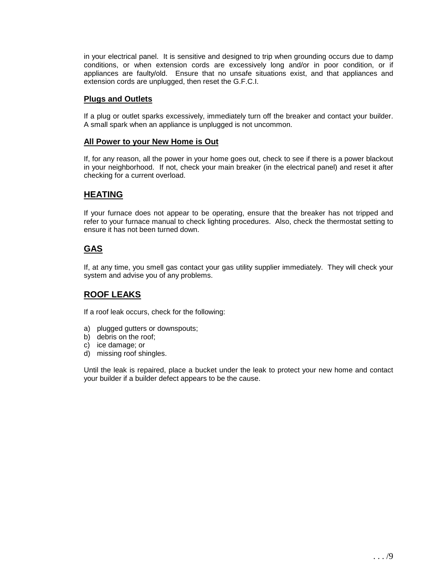in your electrical panel. It is sensitive and designed to trip when grounding occurs due to damp conditions, or when extension cords are excessively long and/or in poor condition, or if appliances are faulty/old. Ensure that no unsafe situations exist, and that appliances and extension cords are unplugged, then reset the G.F.C.I.

# **Plugs and Outlets**

If a plug or outlet sparks excessively, immediately turn off the breaker and contact your builder. A small spark when an appliance is unplugged is not uncommon.

#### **All Power to your New Home is Out**

If, for any reason, all the power in your home goes out, check to see if there is a power blackout in your neighborhood. If not, check your main breaker (in the electrical panel) and reset it after checking for a current overload.

# **HEATING**

If your furnace does not appear to be operating, ensure that the breaker has not tripped and refer to your furnace manual to check lighting procedures. Also, check the thermostat setting to ensure it has not been turned down.

# **GAS**

If, at any time, you smell gas contact your gas utility supplier immediately. They will check your system and advise you of any problems.

# **ROOF LEAKS**

If a roof leak occurs, check for the following:

- a) plugged gutters or downspouts;
- b) debris on the roof;
- c) ice damage; or
- d) missing roof shingles.

Until the leak is repaired, place a bucket under the leak to protect your new home and contact your builder if a builder defect appears to be the cause.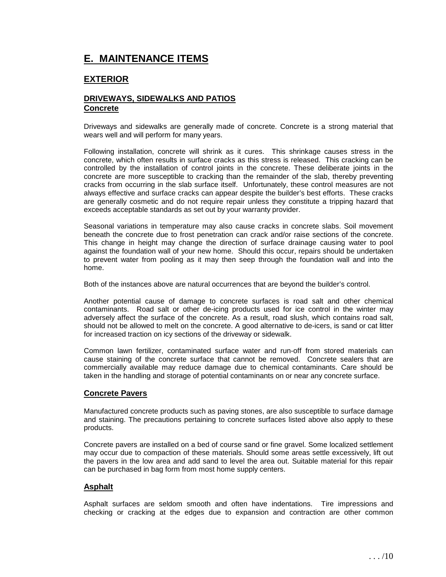# **E. MAINTENANCE ITEMS**

# **EXTERIOR**

#### **DRIVEWAYS, SIDEWALKS AND PATIOS Concrete**

Driveways and sidewalks are generally made of concrete. Concrete is a strong material that wears well and will perform for many years.

Following installation, concrete will shrink as it cures. This shrinkage causes stress in the concrete, which often results in surface cracks as this stress is released. This cracking can be controlled by the installation of control joints in the concrete. These deliberate joints in the concrete are more susceptible to cracking than the remainder of the slab, thereby preventing cracks from occurring in the slab surface itself. Unfortunately, these control measures are not always effective and surface cracks can appear despite the builder's best efforts. These cracks are generally cosmetic and do not require repair unless they constitute a tripping hazard that exceeds acceptable standards as set out by your warranty provider.

Seasonal variations in temperature may also cause cracks in concrete slabs. Soil movement beneath the concrete due to frost penetration can crack and/or raise sections of the concrete. This change in height may change the direction of surface drainage causing water to pool against the foundation wall of your new home. Should this occur, repairs should be undertaken to prevent water from pooling as it may then seep through the foundation wall and into the home.

Both of the instances above are natural occurrences that are beyond the builder's control.

Another potential cause of damage to concrete surfaces is road salt and other chemical contaminants. Road salt or other de-icing products used for ice control in the winter may adversely affect the surface of the concrete. As a result, road slush, which contains road salt, should not be allowed to melt on the concrete. A good alternative to de-icers, is sand or cat litter for increased traction on icy sections of the driveway or sidewalk.

Common lawn fertilizer, contaminated surface water and run-off from stored materials can cause staining of the concrete surface that cannot be removed. Concrete sealers that are commercially available may reduce damage due to chemical contaminants. Care should be taken in the handling and storage of potential contaminants on or near any concrete surface.

## **Concrete Pavers**

Manufactured concrete products such as paving stones, are also susceptible to surface damage and staining. The precautions pertaining to concrete surfaces listed above also apply to these products.

Concrete pavers are installed on a bed of course sand or fine gravel. Some localized settlement may occur due to compaction of these materials. Should some areas settle excessively, lift out the pavers in the low area and add sand to level the area out. Suitable material for this repair can be purchased in bag form from most home supply centers.

#### **Asphalt**

Asphalt surfaces are seldom smooth and often have indentations. Tire impressions and checking or cracking at the edges due to expansion and contraction are other common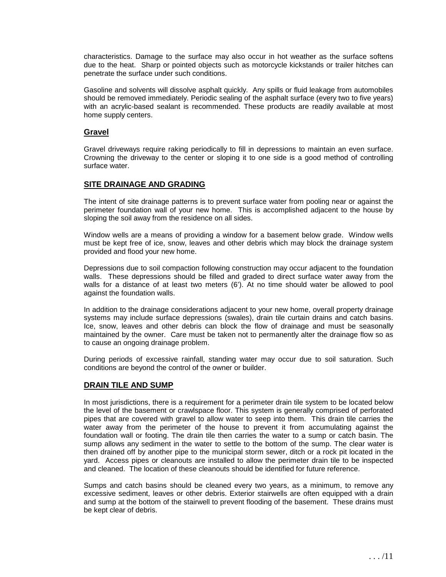characteristics. Damage to the surface may also occur in hot weather as the surface softens due to the heat. Sharp or pointed objects such as motorcycle kickstands or trailer hitches can penetrate the surface under such conditions.

Gasoline and solvents will dissolve asphalt quickly. Any spills or fluid leakage from automobiles should be removed immediately. Periodic sealing of the asphalt surface (every two to five years) with an acrylic-based sealant is recommended. These products are readily available at most home supply centers.

#### **Gravel**

Gravel driveways require raking periodically to fill in depressions to maintain an even surface. Crowning the driveway to the center or sloping it to one side is a good method of controlling surface water.

#### **SITE DRAINAGE AND GRADING**

The intent of site drainage patterns is to prevent surface water from pooling near or against the perimeter foundation wall of your new home. This is accomplished adjacent to the house by sloping the soil away from the residence on all sides.

Window wells are a means of providing a window for a basement below grade. Window wells must be kept free of ice, snow, leaves and other debris which may block the drainage system provided and flood your new home.

Depressions due to soil compaction following construction may occur adjacent to the foundation walls. These depressions should be filled and graded to direct surface water away from the walls for a distance of at least two meters (6'). At no time should water be allowed to pool against the foundation walls.

In addition to the drainage considerations adjacent to your new home, overall property drainage systems may include surface depressions (swales), drain tile curtain drains and catch basins. Ice, snow, leaves and other debris can block the flow of drainage and must be seasonally maintained by the owner. Care must be taken not to permanently alter the drainage flow so as to cause an ongoing drainage problem.

During periods of excessive rainfall, standing water may occur due to soil saturation. Such conditions are beyond the control of the owner or builder.

#### **DRAIN TILE AND SUMP**

In most jurisdictions, there is a requirement for a perimeter drain tile system to be located below the level of the basement or crawlspace floor. This system is generally comprised of perforated pipes that are covered with gravel to allow water to seep into them. This drain tile carries the water away from the perimeter of the house to prevent it from accumulating against the foundation wall or footing. The drain tile then carries the water to a sump or catch basin. The sump allows any sediment in the water to settle to the bottom of the sump. The clear water is then drained off by another pipe to the municipal storm sewer, ditch or a rock pit located in the yard. Access pipes or cleanouts are installed to allow the perimeter drain tile to be inspected and cleaned. The location of these cleanouts should be identified for future reference.

Sumps and catch basins should be cleaned every two years, as a minimum, to remove any excessive sediment, leaves or other debris. Exterior stairwells are often equipped with a drain and sump at the bottom of the stairwell to prevent flooding of the basement. These drains must be kept clear of debris.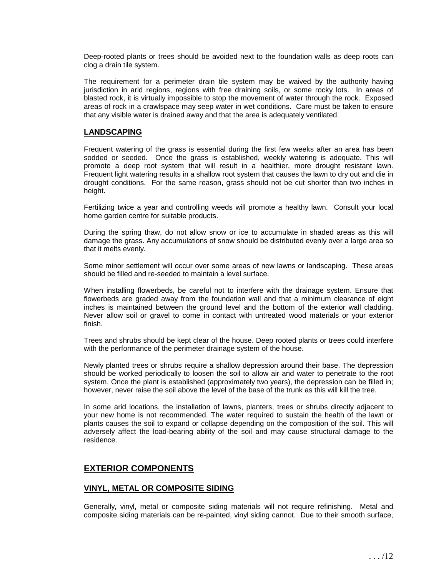Deep-rooted plants or trees should be avoided next to the foundation walls as deep roots can clog a drain tile system.

The requirement for a perimeter drain tile system may be waived by the authority having jurisdiction in arid regions, regions with free draining soils, or some rocky lots. In areas of blasted rock, it is virtually impossible to stop the movement of water through the rock. Exposed areas of rock in a crawlspace may seep water in wet conditions. Care must be taken to ensure that any visible water is drained away and that the area is adequately ventilated.

#### **LANDSCAPING**

Frequent watering of the grass is essential during the first few weeks after an area has been sodded or seeded. Once the grass is established, weekly watering is adequate. This will promote a deep root system that will result in a healthier, more drought resistant lawn. Frequent light watering results in a shallow root system that causes the lawn to dry out and die in drought conditions. For the same reason, grass should not be cut shorter than two inches in height.

Fertilizing twice a year and controlling weeds will promote a healthy lawn. Consult your local home garden centre for suitable products.

During the spring thaw, do not allow snow or ice to accumulate in shaded areas as this will damage the grass. Any accumulations of snow should be distributed evenly over a large area so that it melts evenly.

Some minor settlement will occur over some areas of new lawns or landscaping. These areas should be filled and re-seeded to maintain a level surface.

When installing flowerbeds, be careful not to interfere with the drainage system. Ensure that flowerbeds are graded away from the foundation wall and that a minimum clearance of eight inches is maintained between the ground level and the bottom of the exterior wall cladding. Never allow soil or gravel to come in contact with untreated wood materials or your exterior finish.

Trees and shrubs should be kept clear of the house. Deep rooted plants or trees could interfere with the performance of the perimeter drainage system of the house.

Newly planted trees or shrubs require a shallow depression around their base. The depression should be worked periodically to loosen the soil to allow air and water to penetrate to the root system. Once the plant is established (approximately two years), the depression can be filled in; however, never raise the soil above the level of the base of the trunk as this will kill the tree.

In some arid locations, the installation of lawns, planters, trees or shrubs directly adjacent to your new home is not recommended. The water required to sustain the health of the lawn or plants causes the soil to expand or collapse depending on the composition of the soil. This will adversely affect the load-bearing ability of the soil and may cause structural damage to the residence.

# **EXTERIOR COMPONENTS**

#### **VINYL, METAL OR COMPOSITE SIDING**

Generally, vinyl, metal or composite siding materials will not require refinishing. Metal and composite siding materials can be re-painted, vinyl siding cannot. Due to their smooth surface,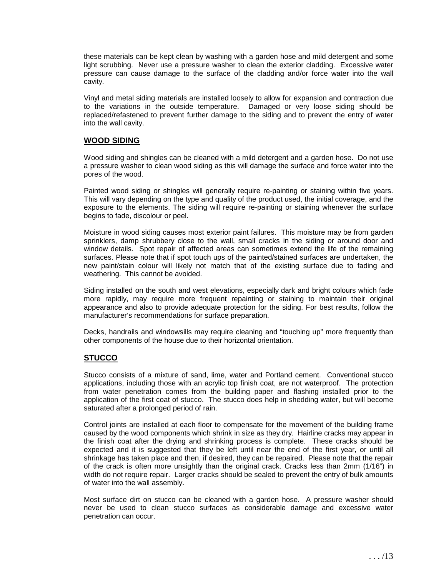these materials can be kept clean by washing with a garden hose and mild detergent and some light scrubbing. Never use a pressure washer to clean the exterior cladding. Excessive water pressure can cause damage to the surface of the cladding and/or force water into the wall cavity.

Vinyl and metal siding materials are installed loosely to allow for expansion and contraction due to the variations in the outside temperature. Damaged or very loose siding should be replaced/refastened to prevent further damage to the siding and to prevent the entry of water into the wall cavity.

#### **WOOD SIDING**

Wood siding and shingles can be cleaned with a mild detergent and a garden hose. Do not use a pressure washer to clean wood siding as this will damage the surface and force water into the pores of the wood.

Painted wood siding or shingles will generally require re-painting or staining within five years. This will vary depending on the type and quality of the product used, the initial coverage, and the exposure to the elements. The siding will require re-painting or staining whenever the surface begins to fade, discolour or peel.

Moisture in wood siding causes most exterior paint failures. This moisture may be from garden sprinklers, damp shrubbery close to the wall, small cracks in the siding or around door and window details. Spot repair of affected areas can sometimes extend the life of the remaining surfaces. Please note that if spot touch ups of the painted/stained surfaces are undertaken, the new paint/stain colour will likely not match that of the existing surface due to fading and weathering. This cannot be avoided.

Siding installed on the south and west elevations, especially dark and bright colours which fade more rapidly, may require more frequent repainting or staining to maintain their original appearance and also to provide adequate protection for the siding. For best results, follow the manufacturer's recommendations for surface preparation.

Decks, handrails and windowsills may require cleaning and "touching up" more frequently than other components of the house due to their horizontal orientation.

## **STUCCO**

Stucco consists of a mixture of sand, lime, water and Portland cement. Conventional stucco applications, including those with an acrylic top finish coat, are not waterproof. The protection from water penetration comes from the building paper and flashing installed prior to the application of the first coat of stucco. The stucco does help in shedding water, but will become saturated after a prolonged period of rain.

Control joints are installed at each floor to compensate for the movement of the building frame caused by the wood components which shrink in size as they dry. Hairline cracks may appear in the finish coat after the drying and shrinking process is complete. These cracks should be expected and it is suggested that they be left until near the end of the first year, or until all shrinkage has taken place and then, if desired, they can be repaired. Please note that the repair of the crack is often more unsightly than the original crack. Cracks less than 2mm (1/16") in width do not require repair. Larger cracks should be sealed to prevent the entry of bulk amounts of water into the wall assembly.

Most surface dirt on stucco can be cleaned with a garden hose. A pressure washer should never be used to clean stucco surfaces as considerable damage and excessive water penetration can occur.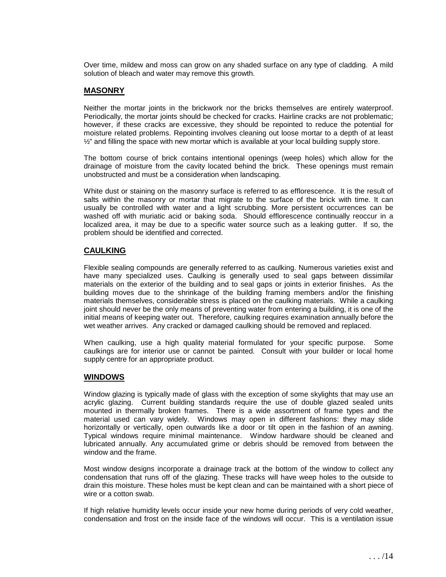Over time, mildew and moss can grow on any shaded surface on any type of cladding. A mild solution of bleach and water may remove this growth.

#### **MASONRY**

Neither the mortar joints in the brickwork nor the bricks themselves are entirely waterproof. Periodically, the mortar joints should be checked for cracks. Hairline cracks are not problematic; however, if these cracks are excessive, they should be repointed to reduce the potential for moisture related problems. Repointing involves cleaning out loose mortar to a depth of at least  $\frac{1}{2}$ " and filling the space with new mortar which is available at your local building supply store.

The bottom course of brick contains intentional openings (weep holes) which allow for the drainage of moisture from the cavity located behind the brick. These openings must remain unobstructed and must be a consideration when landscaping.

White dust or staining on the masonry surface is referred to as efflorescence. It is the result of salts within the masonry or mortar that migrate to the surface of the brick with time. It can usually be controlled with water and a light scrubbing. More persistent occurrences can be washed off with muriatic acid or baking soda. Should efflorescence continually reoccur in a localized area, it may be due to a specific water source such as a leaking gutter. If so, the problem should be identified and corrected.

## **CAULKING**

Flexible sealing compounds are generally referred to as caulking. Numerous varieties exist and have many specialized uses. Caulking is generally used to seal gaps between dissimilar materials on the exterior of the building and to seal gaps or joints in exterior finishes. As the building moves due to the shrinkage of the building framing members and/or the finishing materials themselves, considerable stress is placed on the caulking materials. While a caulking joint should never be the only means of preventing water from entering a building, it is one of the initial means of keeping water out. Therefore, caulking requires examination annually before the wet weather arrives. Any cracked or damaged caulking should be removed and replaced.

When caulking, use a high quality material formulated for your specific purpose. Some caulkings are for interior use or cannot be painted. Consult with your builder or local home supply centre for an appropriate product.

#### **WINDOWS**

Window glazing is typically made of glass with the exception of some skylights that may use an acrylic glazing. Current building standards require the use of double glazed sealed units mounted in thermally broken frames. There is a wide assortment of frame types and the material used can vary widely. Windows may open in different fashions: they may slide horizontally or vertically, open outwards like a door or tilt open in the fashion of an awning. Typical windows require minimal maintenance. Window hardware should be cleaned and lubricated annually. Any accumulated grime or debris should be removed from between the window and the frame.

Most window designs incorporate a drainage track at the bottom of the window to collect any condensation that runs off of the glazing. These tracks will have weep holes to the outside to drain this moisture. These holes must be kept clean and can be maintained with a short piece of wire or a cotton swab.

If high relative humidity levels occur inside your new home during periods of very cold weather, condensation and frost on the inside face of the windows will occur. This is a ventilation issue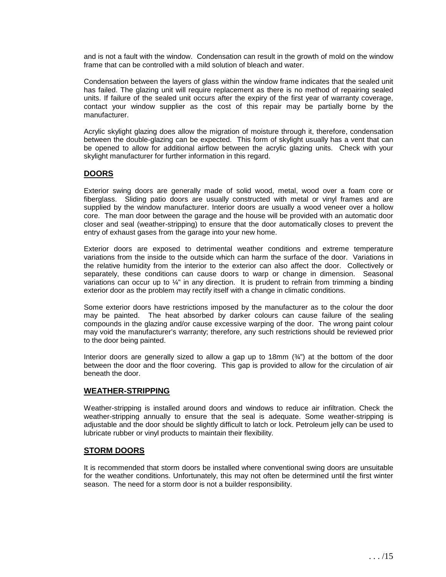and is not a fault with the window. Condensation can result in the growth of mold on the window frame that can be controlled with a mild solution of bleach and water.

Condensation between the layers of glass within the window frame indicates that the sealed unit has failed. The glazing unit will require replacement as there is no method of repairing sealed units. If failure of the sealed unit occurs after the expiry of the first year of warranty coverage, contact your window supplier as the cost of this repair may be partially borne by the manufacturer.

Acrylic skylight glazing does allow the migration of moisture through it, therefore, condensation between the double-glazing can be expected. This form of skylight usually has a vent that can be opened to allow for additional airflow between the acrylic glazing units. Check with your skylight manufacturer for further information in this regard.

## **DOORS**

Exterior swing doors are generally made of solid wood, metal, wood over a foam core or fiberglass. Sliding patio doors are usually constructed with metal or vinyl frames and are supplied by the window manufacturer. Interior doors are usually a wood veneer over a hollow core. The man door between the garage and the house will be provided with an automatic door closer and seal (weather-stripping) to ensure that the door automatically closes to prevent the entry of exhaust gases from the garage into your new home.

Exterior doors are exposed to detrimental weather conditions and extreme temperature variations from the inside to the outside which can harm the surface of the door. Variations in the relative humidity from the interior to the exterior can also affect the door. Collectively or separately, these conditions can cause doors to warp or change in dimension. Seasonal variations can occur up to ¼" in any direction. It is prudent to refrain from trimming a binding exterior door as the problem may rectify itself with a change in climatic conditions.

Some exterior doors have restrictions imposed by the manufacturer as to the colour the door may be painted. The heat absorbed by darker colours can cause failure of the sealing compounds in the glazing and/or cause excessive warping of the door. The wrong paint colour may void the manufacturer's warranty; therefore, any such restrictions should be reviewed prior to the door being painted.

Interior doors are generally sized to allow a gap up to 18mm  $(*$ ") at the bottom of the door between the door and the floor covering. This gap is provided to allow for the circulation of air beneath the door.

#### **WEATHER-STRIPPING**

Weather-stripping is installed around doors and windows to reduce air infiltration. Check the weather-stripping annually to ensure that the seal is adequate. Some weather-stripping is adjustable and the door should be slightly difficult to latch or lock. Petroleum jelly can be used to lubricate rubber or vinyl products to maintain their flexibility.

## **STORM DOORS**

It is recommended that storm doors be installed where conventional swing doors are unsuitable for the weather conditions. Unfortunately, this may not often be determined until the first winter season. The need for a storm door is not a builder responsibility.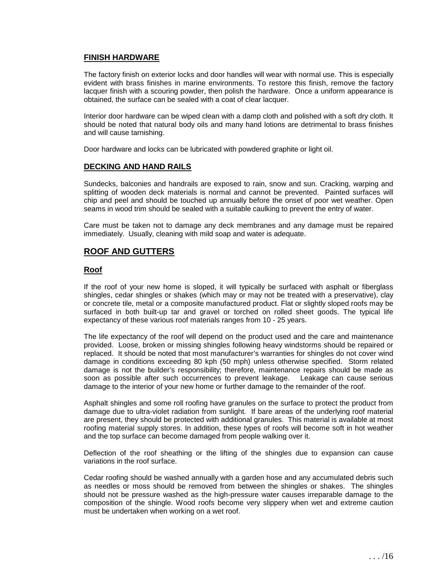#### **FINISH HARDWARE**

The factory finish on exterior locks and door handles will wear with normal use. This is especially evident with brass finishes in marine environments. To restore this finish, remove the factory lacquer finish with a scouring powder, then polish the hardware. Once a uniform appearance is obtained, the surface can be sealed with a coat of clear lacquer.

Interior door hardware can be wiped clean with a damp cloth and polished with a soft dry cloth. It should be noted that natural body oils and many hand lotions are detrimental to brass finishes and will cause tarnishing.

Door hardware and locks can be lubricated with powdered graphite or light oil.

#### **DECKING AND HAND RAILS**

Sundecks, balconies and handrails are exposed to rain, snow and sun. Cracking, warping and splitting of wooden deck materials is normal and cannot be prevented. Painted surfaces will chip and peel and should be touched up annually before the onset of poor wet weather. Open seams in wood trim should be sealed with a suitable caulking to prevent the entry of water.

Care must be taken not to damage any deck membranes and any damage must be repaired immediately. Usually, cleaning with mild soap and water is adequate.

# **ROOF AND GUTTERS**

#### **Roof**

If the roof of your new home is sloped, it will typically be surfaced with asphalt or fiberglass shingles, cedar shingles or shakes (which may or may not be treated with a preservative), clay or concrete tile, metal or a composite manufactured product. Flat or slightly sloped roofs may be surfaced in both built-up tar and gravel or torched on rolled sheet goods. The typical life expectancy of these various roof materials ranges from 10 - 25 years.

The life expectancy of the roof will depend on the product used and the care and maintenance provided. Loose, broken or missing shingles following heavy windstorms should be repaired or replaced. It should be noted that most manufacturer's warranties for shingles do not cover wind damage in conditions exceeding 80 kph (50 mph) unless otherwise specified. Storm related damage is not the builder's responsibility; therefore, maintenance repairs should be made as soon as possible after such occurrences to prevent leakage. Leakage can cause serious damage to the interior of your new home or further damage to the remainder of the roof.

Asphalt shingles and some roll roofing have granules on the surface to protect the product from damage due to ultra-violet radiation from sunlight. If bare areas of the underlying roof material are present, they should be protected with additional granules. This material is available at most roofing material supply stores. In addition, these types of roofs will become soft in hot weather and the top surface can become damaged from people walking over it.

Deflection of the roof sheathing or the lifting of the shingles due to expansion can cause variations in the roof surface.

Cedar roofing should be washed annually with a garden hose and any accumulated debris such as needles or moss should be removed from between the shingles or shakes. The shingles should not be pressure washed as the high-pressure water causes irreparable damage to the composition of the shingle. Wood roofs become very slippery when wet and extreme caution must be undertaken when working on a wet roof.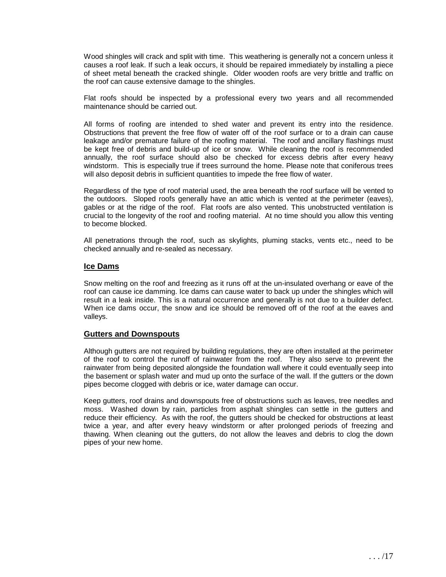Wood shingles will crack and split with time. This weathering is generally not a concern unless it causes a roof leak. If such a leak occurs, it should be repaired immediately by installing a piece of sheet metal beneath the cracked shingle. Older wooden roofs are very brittle and traffic on the roof can cause extensive damage to the shingles.

Flat roofs should be inspected by a professional every two years and all recommended maintenance should be carried out.

All forms of roofing are intended to shed water and prevent its entry into the residence. Obstructions that prevent the free flow of water off of the roof surface or to a drain can cause leakage and/or premature failure of the roofing material. The roof and ancillary flashings must be kept free of debris and build-up of ice or snow. While cleaning the roof is recommended annually, the roof surface should also be checked for excess debris after every heavy windstorm. This is especially true if trees surround the home. Please note that coniferous trees will also deposit debris in sufficient quantities to impede the free flow of water.

Regardless of the type of roof material used, the area beneath the roof surface will be vented to the outdoors. Sloped roofs generally have an attic which is vented at the perimeter (eaves), gables or at the ridge of the roof. Flat roofs are also vented. This unobstructed ventilation is crucial to the longevity of the roof and roofing material. At no time should you allow this venting to become blocked.

All penetrations through the roof, such as skylights, pluming stacks, vents etc., need to be checked annually and re-sealed as necessary.

#### **Ice Dams**

Snow melting on the roof and freezing as it runs off at the un-insulated overhang or eave of the roof can cause ice damming. Ice dams can cause water to back up under the shingles which will result in a leak inside. This is a natural occurrence and generally is not due to a builder defect. When ice dams occur, the snow and ice should be removed off of the roof at the eaves and valleys.

#### **Gutters and Downspouts**

Although gutters are not required by building regulations, they are often installed at the perimeter of the roof to control the runoff of rainwater from the roof. They also serve to prevent the rainwater from being deposited alongside the foundation wall where it could eventually seep into the basement or splash water and mud up onto the surface of the wall. If the gutters or the down pipes become clogged with debris or ice, water damage can occur.

Keep gutters, roof drains and downspouts free of obstructions such as leaves, tree needles and moss. Washed down by rain, particles from asphalt shingles can settle in the gutters and reduce their efficiency. As with the roof, the gutters should be checked for obstructions at least twice a year, and after every heavy windstorm or after prolonged periods of freezing and thawing. When cleaning out the gutters, do not allow the leaves and debris to clog the down pipes of your new home.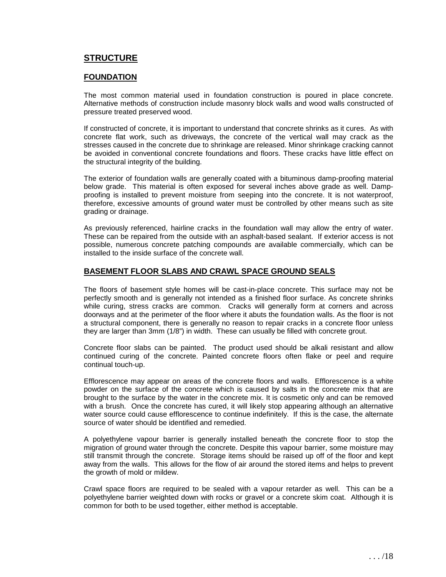# **STRUCTURE**

#### **FOUNDATION**

The most common material used in foundation construction is poured in place concrete. Alternative methods of construction include masonry block walls and wood walls constructed of pressure treated preserved wood.

If constructed of concrete, it is important to understand that concrete shrinks as it cures. As with concrete flat work, such as driveways, the concrete of the vertical wall may crack as the stresses caused in the concrete due to shrinkage are released. Minor shrinkage cracking cannot be avoided in conventional concrete foundations and floors. These cracks have little effect on the structural integrity of the building.

The exterior of foundation walls are generally coated with a bituminous damp-proofing material below grade. This material is often exposed for several inches above grade as well. Dampproofing is installed to prevent moisture from seeping into the concrete. It is not waterproof, therefore, excessive amounts of ground water must be controlled by other means such as site grading or drainage.

As previously referenced, hairline cracks in the foundation wall may allow the entry of water. These can be repaired from the outside with an asphalt-based sealant. If exterior access is not possible, numerous concrete patching compounds are available commercially, which can be installed to the inside surface of the concrete wall.

#### **BASEMENT FLOOR SLABS AND CRAWL SPACE GROUND SEALS**

The floors of basement style homes will be cast-in-place concrete. This surface may not be perfectly smooth and is generally not intended as a finished floor surface. As concrete shrinks while curing, stress cracks are common. Cracks will generally form at corners and across doorways and at the perimeter of the floor where it abuts the foundation walls. As the floor is not a structural component, there is generally no reason to repair cracks in a concrete floor unless they are larger than 3mm (1/8") in width. These can usually be filled with concrete grout.

Concrete floor slabs can be painted. The product used should be alkali resistant and allow continued curing of the concrete. Painted concrete floors often flake or peel and require continual touch-up.

Efflorescence may appear on areas of the concrete floors and walls. Efflorescence is a white powder on the surface of the concrete which is caused by salts in the concrete mix that are brought to the surface by the water in the concrete mix. It is cosmetic only and can be removed with a brush. Once the concrete has cured, it will likely stop appearing although an alternative water source could cause efflorescence to continue indefinitely. If this is the case, the alternate source of water should be identified and remedied.

A polyethylene vapour barrier is generally installed beneath the concrete floor to stop the migration of ground water through the concrete. Despite this vapour barrier, some moisture may still transmit through the concrete. Storage items should be raised up off of the floor and kept away from the walls. This allows for the flow of air around the stored items and helps to prevent the growth of mold or mildew.

Crawl space floors are required to be sealed with a vapour retarder as well. This can be a polyethylene barrier weighted down with rocks or gravel or a concrete skim coat. Although it is common for both to be used together, either method is acceptable.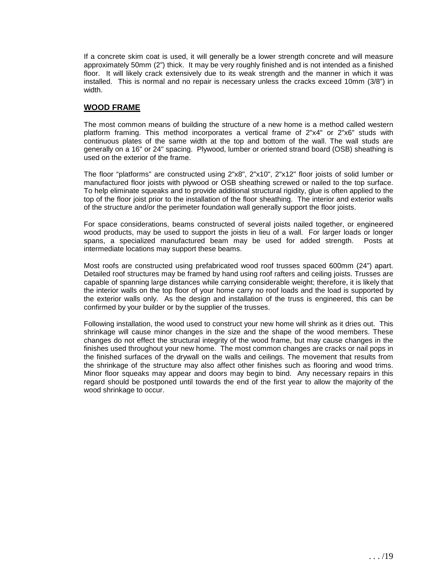If a concrete skim coat is used, it will generally be a lower strength concrete and will measure approximately 50mm (2") thick. It may be very roughly finished and is not intended as a finished floor. It will likely crack extensively due to its weak strength and the manner in which it was installed. This is normal and no repair is necessary unless the cracks exceed 10mm (3/8") in width.

#### **WOOD FRAME**

The most common means of building the structure of a new home is a method called western platform framing. This method incorporates a vertical frame of 2"x4" or 2"x6" studs with continuous plates of the same width at the top and bottom of the wall. The wall studs are generally on a 16" or 24" spacing. Plywood, lumber or oriented strand board (OSB) sheathing is used on the exterior of the frame.

The floor "platforms" are constructed using 2"x8", 2"x10", 2"x12" floor joists of solid lumber or manufactured floor joists with plywood or OSB sheathing screwed or nailed to the top surface. To help eliminate squeaks and to provide additional structural rigidity, glue is often applied to the top of the floor joist prior to the installation of the floor sheathing. The interior and exterior walls of the structure and/or the perimeter foundation wall generally support the floor joists.

For space considerations, beams constructed of several joists nailed together, or engineered wood products, may be used to support the joists in lieu of a wall. For larger loads or longer spans, a specialized manufactured beam may be used for added strength. Posts at intermediate locations may support these beams.

Most roofs are constructed using prefabricated wood roof trusses spaced 600mm (24") apart. Detailed roof structures may be framed by hand using roof rafters and ceiling joists. Trusses are capable of spanning large distances while carrying considerable weight; therefore, it is likely that the interior walls on the top floor of your home carry no roof loads and the load is supported by the exterior walls only. As the design and installation of the truss is engineered, this can be confirmed by your builder or by the supplier of the trusses.

Following installation, the wood used to construct your new home will shrink as it dries out. This shrinkage will cause minor changes in the size and the shape of the wood members. These changes do not effect the structural integrity of the wood frame, but may cause changes in the finishes used throughout your new home. The most common changes are cracks or nail pops in the finished surfaces of the drywall on the walls and ceilings. The movement that results from the shrinkage of the structure may also affect other finishes such as flooring and wood trims. Minor floor squeaks may appear and doors may begin to bind. Any necessary repairs in this regard should be postponed until towards the end of the first year to allow the majority of the wood shrinkage to occur.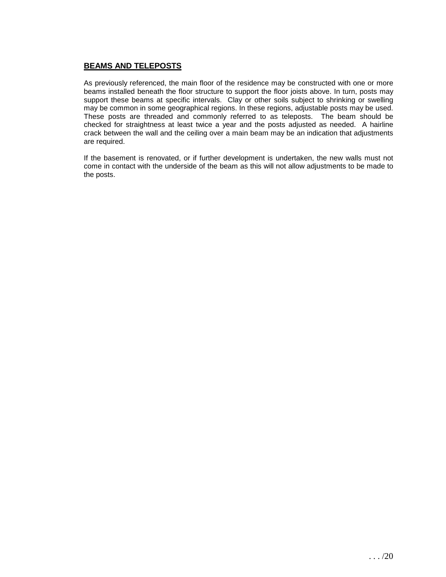# **BEAMS AND TELEPOSTS**

As previously referenced, the main floor of the residence may be constructed with one or more beams installed beneath the floor structure to support the floor joists above. In turn, posts may support these beams at specific intervals. Clay or other soils subject to shrinking or swelling may be common in some geographical regions. In these regions, adjustable posts may be used. These posts are threaded and commonly referred to as teleposts. The beam should be checked for straightness at least twice a year and the posts adjusted as needed. A hairline crack between the wall and the ceiling over a main beam may be an indication that adjustments are required.

If the basement is renovated, or if further development is undertaken, the new walls must not come in contact with the underside of the beam as this will not allow adjustments to be made to the posts.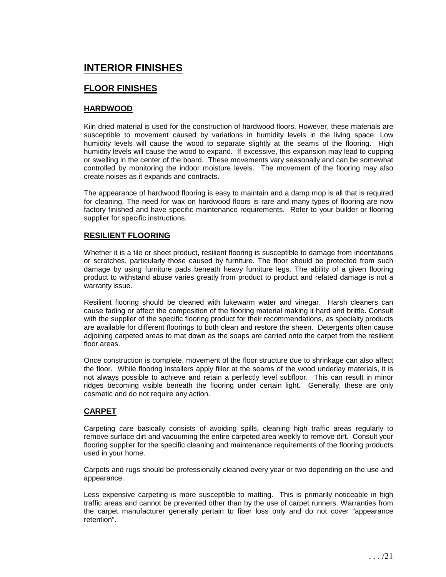# **INTERIOR FINISHES**

# **FLOOR FINISHES**

#### **HARDWOOD**

Kiln dried material is used for the construction of hardwood floors. However, these materials are susceptible to movement caused by variations in humidity levels in the living space. Low humidity levels will cause the wood to separate slightly at the seams of the flooring. High humidity levels will cause the wood to expand. If excessive, this expansion may lead to cupping or swelling in the center of the board. These movements vary seasonally and can be somewhat controlled by monitoring the indoor moisture levels. The movement of the flooring may also create noises as it expands and contracts.

The appearance of hardwood flooring is easy to maintain and a damp mop is all that is required for cleaning. The need for wax on hardwood floors is rare and many types of flooring are now factory finished and have specific maintenance requirements. Refer to your builder or flooring supplier for specific instructions.

#### **RESILIENT FLOORING**

Whether it is a tile or sheet product, resilient flooring is susceptible to damage from indentations or scratches, particularly those caused by furniture. The floor should be protected from such damage by using furniture pads beneath heavy furniture legs. The ability of a given flooring product to withstand abuse varies greatly from product to product and related damage is not a warranty issue.

Resilient flooring should be cleaned with lukewarm water and vinegar. Harsh cleaners can cause fading or affect the composition of the flooring material making it hard and brittle. Consult with the supplier of the specific flooring product for their recommendations, as specialty products are available for different floorings to both clean and restore the sheen. Detergents often cause adjoining carpeted areas to mat down as the soaps are carried onto the carpet from the resilient floor areas.

Once construction is complete, movement of the floor structure due to shrinkage can also affect the floor. While flooring installers apply filler at the seams of the wood underlay materials, it is not always possible to achieve and retain a perfectly level subfloor. This can result in minor ridges becoming visible beneath the flooring under certain light. Generally, these are only cosmetic and do not require any action.

## **CARPET**

Carpeting care basically consists of avoiding spills, cleaning high traffic areas regularly to remove surface dirt and vacuuming the entire carpeted area weekly to remove dirt. Consult your flooring supplier for the specific cleaning and maintenance requirements of the flooring products used in your home.

Carpets and rugs should be professionally cleaned every year or two depending on the use and appearance.

Less expensive carpeting is more susceptible to matting. This is primarily noticeable in high traffic areas and cannot be prevented other than by the use of carpet runners. Warranties from the carpet manufacturer generally pertain to fiber loss only and do not cover "appearance retention".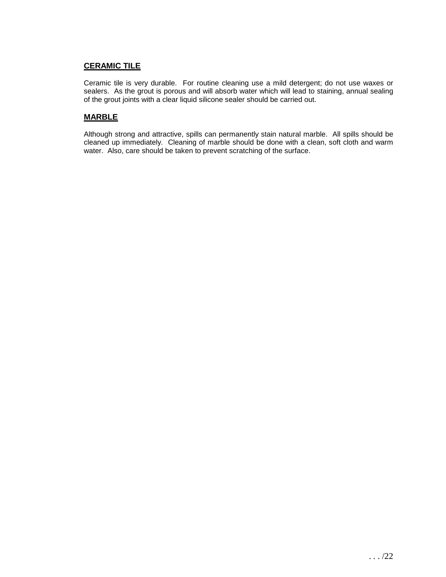# **CERAMIC TILE**

Ceramic tile is very durable. For routine cleaning use a mild detergent; do not use waxes or sealers. As the grout is porous and will absorb water which will lead to staining, annual sealing of the grout joints with a clear liquid silicone sealer should be carried out.

# **MARBLE**

Although strong and attractive, spills can permanently stain natural marble. All spills should be cleaned up immediately. Cleaning of marble should be done with a clean, soft cloth and warm water. Also, care should be taken to prevent scratching of the surface.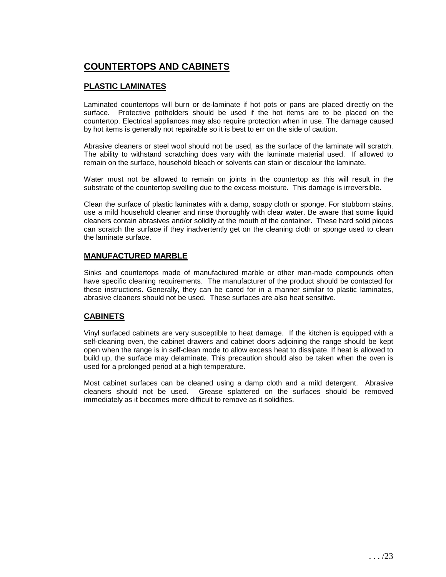# **COUNTERTOPS AND CABINETS**

# **PLASTIC LAMINATES**

Laminated countertops will burn or de-laminate if hot pots or pans are placed directly on the surface. Protective potholders should be used if the hot items are to be placed on the countertop. Electrical appliances may also require protection when in use. The damage caused by hot items is generally not repairable so it is best to err on the side of caution.

Abrasive cleaners or steel wool should not be used, as the surface of the laminate will scratch. The ability to withstand scratching does vary with the laminate material used. If allowed to remain on the surface, household bleach or solvents can stain or discolour the laminate.

Water must not be allowed to remain on joints in the countertop as this will result in the substrate of the countertop swelling due to the excess moisture. This damage is irreversible.

Clean the surface of plastic laminates with a damp, soapy cloth or sponge. For stubborn stains, use a mild household cleaner and rinse thoroughly with clear water. Be aware that some liquid cleaners contain abrasives and/or solidify at the mouth of the container. These hard solid pieces can scratch the surface if they inadvertently get on the cleaning cloth or sponge used to clean the laminate surface.

## **MANUFACTURED MARBLE**

Sinks and countertops made of manufactured marble or other man-made compounds often have specific cleaning requirements. The manufacturer of the product should be contacted for these instructions. Generally, they can be cared for in a manner similar to plastic laminates, abrasive cleaners should not be used. These surfaces are also heat sensitive.

## **CABINETS**

Vinyl surfaced cabinets are very susceptible to heat damage. If the kitchen is equipped with a self-cleaning oven, the cabinet drawers and cabinet doors adjoining the range should be kept open when the range is in self-clean mode to allow excess heat to dissipate. If heat is allowed to build up, the surface may delaminate. This precaution should also be taken when the oven is used for a prolonged period at a high temperature.

Most cabinet surfaces can be cleaned using a damp cloth and a mild detergent. Abrasive cleaners should not be used. Grease splattered on the surfaces should be removed immediately as it becomes more difficult to remove as it solidifies.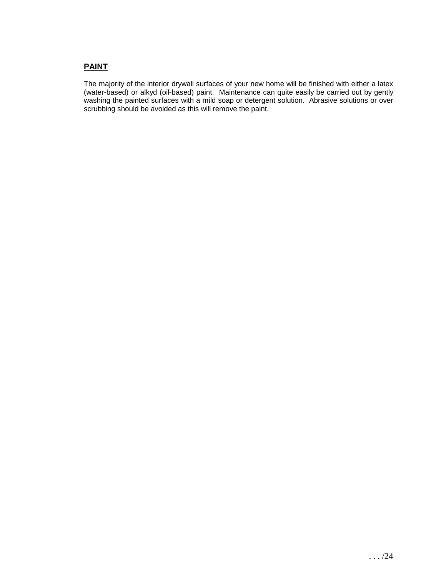# **PAINT**

The majority of the interior drywall surfaces of your new home will be finished with either a latex (water-based) or alkyd (oil-based) paint. Maintenance can quite easily be carried out by gently washing the painted surfaces with a mild soap or detergent solution. Abrasive solutions or over scrubbing should be avoided as this will remove the paint.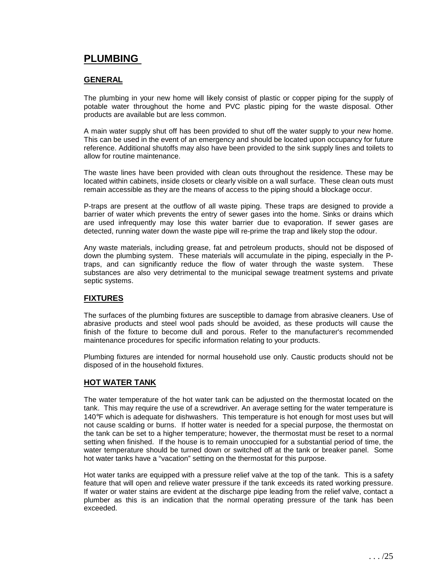# **PLUMBING**

#### **GENERAL**

The plumbing in your new home will likely consist of plastic or copper piping for the supply of potable water throughout the home and PVC plastic piping for the waste disposal. Other products are available but are less common.

A main water supply shut off has been provided to shut off the water supply to your new home. This can be used in the event of an emergency and should be located upon occupancy for future reference. Additional shutoffs may also have been provided to the sink supply lines and toilets to allow for routine maintenance.

The waste lines have been provided with clean outs throughout the residence. These may be located within cabinets, inside closets or clearly visible on a wall surface. These clean outs must remain accessible as they are the means of access to the piping should a blockage occur.

P-traps are present at the outflow of all waste piping. These traps are designed to provide a barrier of water which prevents the entry of sewer gases into the home. Sinks or drains which are used infrequently may lose this water barrier due to evaporation. If sewer gases are detected, running water down the waste pipe will re-prime the trap and likely stop the odour.

Any waste materials, including grease, fat and petroleum products, should not be disposed of down the plumbing system. These materials will accumulate in the piping, especially in the Ptraps, and can significantly reduce the flow of water through the waste system. These substances are also very detrimental to the municipal sewage treatment systems and private septic systems.

## **FIXTURES**

The surfaces of the plumbing fixtures are susceptible to damage from abrasive cleaners. Use of abrasive products and steel wool pads should be avoided, as these products will cause the finish of the fixture to become dull and porous. Refer to the manufacturer's recommended maintenance procedures for specific information relating to your products.

Plumbing fixtures are intended for normal household use only. Caustic products should not be disposed of in the household fixtures.

## **HOT WATER TANK**

The water temperature of the hot water tank can be adjusted on the thermostat located on the tank. This may require the use of a screwdriver. An average setting for the water temperature is 140°F which is adequate for dishwashers. This temperature is hot enough for most uses but will not cause scalding or burns. If hotter water is needed for a special purpose, the thermostat on the tank can be set to a higher temperature; however, the thermostat must be reset to a normal setting when finished. If the house is to remain unoccupied for a substantial period of time, the water temperature should be turned down or switched off at the tank or breaker panel. Some hot water tanks have a "vacation" setting on the thermostat for this purpose.

Hot water tanks are equipped with a pressure relief valve at the top of the tank. This is a safety feature that will open and relieve water pressure if the tank exceeds its rated working pressure. If water or water stains are evident at the discharge pipe leading from the relief valve, contact a plumber as this is an indication that the normal operating pressure of the tank has been exceeded.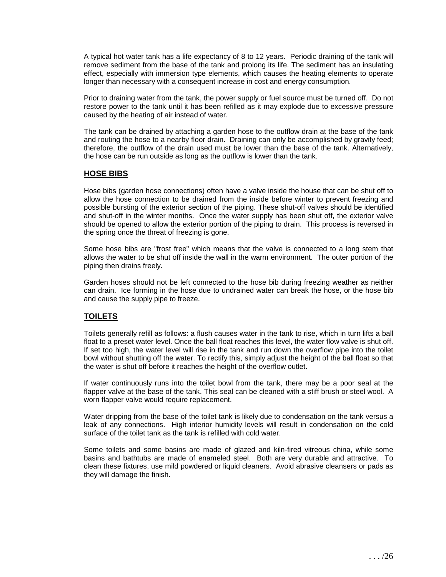A typical hot water tank has a life expectancy of 8 to 12 years. Periodic draining of the tank will remove sediment from the base of the tank and prolong its life. The sediment has an insulating effect, especially with immersion type elements, which causes the heating elements to operate longer than necessary with a consequent increase in cost and energy consumption.

Prior to draining water from the tank, the power supply or fuel source must be turned off. Do not restore power to the tank until it has been refilled as it may explode due to excessive pressure caused by the heating of air instead of water.

The tank can be drained by attaching a garden hose to the outflow drain at the base of the tank and routing the hose to a nearby floor drain. Draining can only be accomplished by gravity feed; therefore, the outflow of the drain used must be lower than the base of the tank. Alternatively, the hose can be run outside as long as the outflow is lower than the tank.

#### **HOSE BIBS**

Hose bibs (garden hose connections) often have a valve inside the house that can be shut off to allow the hose connection to be drained from the inside before winter to prevent freezing and possible bursting of the exterior section of the piping. These shut-off valves should be identified and shut-off in the winter months. Once the water supply has been shut off, the exterior valve should be opened to allow the exterior portion of the piping to drain. This process is reversed in the spring once the threat of freezing is gone.

Some hose bibs are "frost free" which means that the valve is connected to a long stem that allows the water to be shut off inside the wall in the warm environment. The outer portion of the piping then drains freely.

Garden hoses should not be left connected to the hose bib during freezing weather as neither can drain. Ice forming in the hose due to undrained water can break the hose, or the hose bib and cause the supply pipe to freeze.

## **TOILETS**

Toilets generally refill as follows: a flush causes water in the tank to rise, which in turn lifts a ball float to a preset water level. Once the ball float reaches this level, the water flow valve is shut off. If set too high, the water level will rise in the tank and run down the overflow pipe into the toilet bowl without shutting off the water. To rectify this, simply adjust the height of the ball float so that the water is shut off before it reaches the height of the overflow outlet.

If water continuously runs into the toilet bowl from the tank, there may be a poor seal at the flapper valve at the base of the tank. This seal can be cleaned with a stiff brush or steel wool. A worn flapper valve would require replacement.

Water dripping from the base of the toilet tank is likely due to condensation on the tank versus a leak of any connections. High interior humidity levels will result in condensation on the cold surface of the toilet tank as the tank is refilled with cold water.

Some toilets and some basins are made of glazed and kiln-fired vitreous china, while some basins and bathtubs are made of enameled steel. Both are very durable and attractive. To clean these fixtures, use mild powdered or liquid cleaners. Avoid abrasive cleansers or pads as they will damage the finish.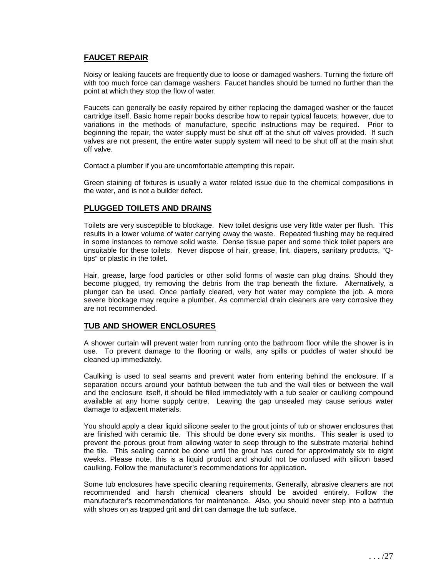# **FAUCET REPAIR**

Noisy or leaking faucets are frequently due to loose or damaged washers. Turning the fixture off with too much force can damage washers. Faucet handles should be turned no further than the point at which they stop the flow of water.

Faucets can generally be easily repaired by either replacing the damaged washer or the faucet cartridge itself. Basic home repair books describe how to repair typical faucets; however, due to variations in the methods of manufacture, specific instructions may be required. Prior to beginning the repair, the water supply must be shut off at the shut off valves provided. If such valves are not present, the entire water supply system will need to be shut off at the main shut off valve.

Contact a plumber if you are uncomfortable attempting this repair.

Green staining of fixtures is usually a water related issue due to the chemical compositions in the water, and is not a builder defect.

## **PLUGGED TOILETS AND DRAINS**

Toilets are very susceptible to blockage. New toilet designs use very little water per flush. This results in a lower volume of water carrying away the waste. Repeated flushing may be required in some instances to remove solid waste. Dense tissue paper and some thick toilet papers are unsuitable for these toilets. Never dispose of hair, grease, lint, diapers, sanitary products, "Qtips" or plastic in the toilet.

Hair, grease, large food particles or other solid forms of waste can plug drains. Should they become plugged, try removing the debris from the trap beneath the fixture. Alternatively, a plunger can be used. Once partially cleared, very hot water may complete the job. A more severe blockage may require a plumber. As commercial drain cleaners are very corrosive they are not recommended.

#### **TUB AND SHOWER ENCLOSURES**

A shower curtain will prevent water from running onto the bathroom floor while the shower is in use. To prevent damage to the flooring or walls, any spills or puddles of water should be cleaned up immediately.

Caulking is used to seal seams and prevent water from entering behind the enclosure. If a separation occurs around your bathtub between the tub and the wall tiles or between the wall and the enclosure itself, it should be filled immediately with a tub sealer or caulking compound available at any home supply centre. Leaving the gap unsealed may cause serious water damage to adjacent materials.

You should apply a clear liquid silicone sealer to the grout joints of tub or shower enclosures that are finished with ceramic tile. This should be done every six months. This sealer is used to prevent the porous grout from allowing water to seep through to the substrate material behind the tile. This sealing cannot be done until the grout has cured for approximately six to eight weeks. Please note, this is a liquid product and should not be confused with silicon based caulking. Follow the manufacturer's recommendations for application.

Some tub enclosures have specific cleaning requirements. Generally, abrasive cleaners are not recommended and harsh chemical cleaners should be avoided entirely. Follow the manufacturer's recommendations for maintenance. Also, you should never step into a bathtub with shoes on as trapped grit and dirt can damage the tub surface.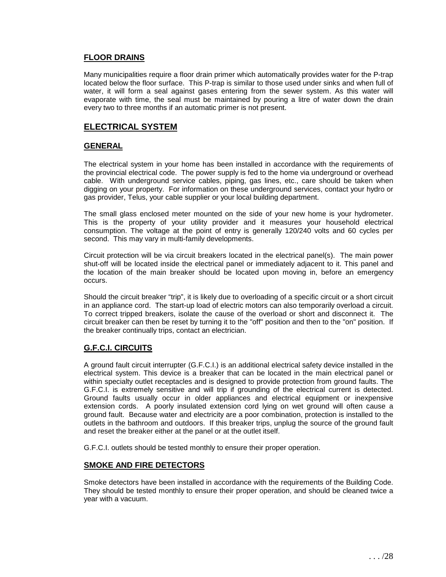#### **FLOOR DRAINS**

Many municipalities require a floor drain primer which automatically provides water for the P-trap located below the floor surface. This P-trap is similar to those used under sinks and when full of water, it will form a seal against gases entering from the sewer system. As this water will evaporate with time, the seal must be maintained by pouring a litre of water down the drain every two to three months if an automatic primer is not present.

# **ELECTRICAL SYSTEM**

#### **GENERAL**

The electrical system in your home has been installed in accordance with the requirements of the provincial electrical code. The power supply is fed to the home via underground or overhead cable. With underground service cables, piping, gas lines, etc., care should be taken when digging on your property. For information on these underground services, contact your hydro or gas provider, Telus, your cable supplier or your local building department.

The small glass enclosed meter mounted on the side of your new home is your hydrometer. This is the property of your utility provider and it measures your household electrical consumption. The voltage at the point of entry is generally 120/240 volts and 60 cycles per second. This may vary in multi-family developments.

Circuit protection will be via circuit breakers located in the electrical panel(s). The main power shut-off will be located inside the electrical panel or immediately adjacent to it. This panel and the location of the main breaker should be located upon moving in, before an emergency occurs.

Should the circuit breaker "trip", it is likely due to overloading of a specific circuit or a short circuit in an appliance cord. The start-up load of electric motors can also temporarily overload a circuit. To correct tripped breakers, isolate the cause of the overload or short and disconnect it. The circuit breaker can then be reset by turning it to the "off" position and then to the "on" position. If the breaker continually trips, contact an electrician.

## **G.F.C.I. CIRCUITS**

A ground fault circuit interrupter (G.F.C.I.) is an additional electrical safety device installed in the electrical system. This device is a breaker that can be located in the main electrical panel or within specialty outlet receptacles and is designed to provide protection from ground faults. The G.F.C.I. is extremely sensitive and will trip if grounding of the electrical current is detected. Ground faults usually occur in older appliances and electrical equipment or inexpensive extension cords. A poorly insulated extension cord lying on wet ground will often cause a ground fault. Because water and electricity are a poor combination, protection is installed to the outlets in the bathroom and outdoors. If this breaker trips, unplug the source of the ground fault and reset the breaker either at the panel or at the outlet itself.

G.F.C.I. outlets should be tested monthly to ensure their proper operation.

## **SMOKE AND FIRE DETECTORS**

Smoke detectors have been installed in accordance with the requirements of the Building Code. They should be tested monthly to ensure their proper operation, and should be cleaned twice a year with a vacuum.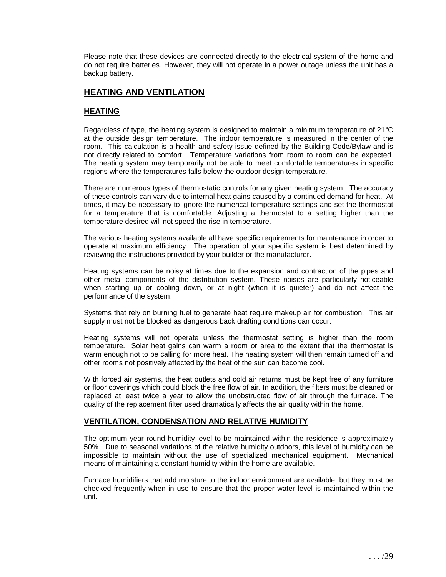Please note that these devices are connected directly to the electrical system of the home and do not require batteries. However, they will not operate in a power outage unless the unit has a backup battery.

# **HEATING AND VENTILATION**

# **HEATING**

Regardless of type, the heating system is designed to maintain a minimum temperature of 21°C at the outside design temperature. The indoor temperature is measured in the center of the room. This calculation is a health and safety issue defined by the Building Code/Bylaw and is not directly related to comfort. Temperature variations from room to room can be expected. The heating system may temporarily not be able to meet comfortable temperatures in specific regions where the temperatures falls below the outdoor design temperature.

There are numerous types of thermostatic controls for any given heating system. The accuracy of these controls can vary due to internal heat gains caused by a continued demand for heat. At times, it may be necessary to ignore the numerical temperature settings and set the thermostat for a temperature that is comfortable. Adjusting a thermostat to a setting higher than the temperature desired will not speed the rise in temperature.

The various heating systems available all have specific requirements for maintenance in order to operate at maximum efficiency. The operation of your specific system is best determined by reviewing the instructions provided by your builder or the manufacturer.

Heating systems can be noisy at times due to the expansion and contraction of the pipes and other metal components of the distribution system. These noises are particularly noticeable when starting up or cooling down, or at night (when it is quieter) and do not affect the performance of the system.

Systems that rely on burning fuel to generate heat require makeup air for combustion. This air supply must not be blocked as dangerous back drafting conditions can occur.

Heating systems will not operate unless the thermostat setting is higher than the room temperature. Solar heat gains can warm a room or area to the extent that the thermostat is warm enough not to be calling for more heat. The heating system will then remain turned off and other rooms not positively affected by the heat of the sun can become cool.

With forced air systems, the heat outlets and cold air returns must be kept free of any furniture or floor coverings which could block the free flow of air. In addition, the filters must be cleaned or replaced at least twice a year to allow the unobstructed flow of air through the furnace. The quality of the replacement filter used dramatically affects the air quality within the home.

#### **VENTILATION, CONDENSATION AND RELATIVE HUMIDITY**

The optimum year round humidity level to be maintained within the residence is approximately 50%. Due to seasonal variations of the relative humidity outdoors, this level of humidity can be impossible to maintain without the use of specialized mechanical equipment. Mechanical means of maintaining a constant humidity within the home are available.

Furnace humidifiers that add moisture to the indoor environment are available, but they must be checked frequently when in use to ensure that the proper water level is maintained within the unit.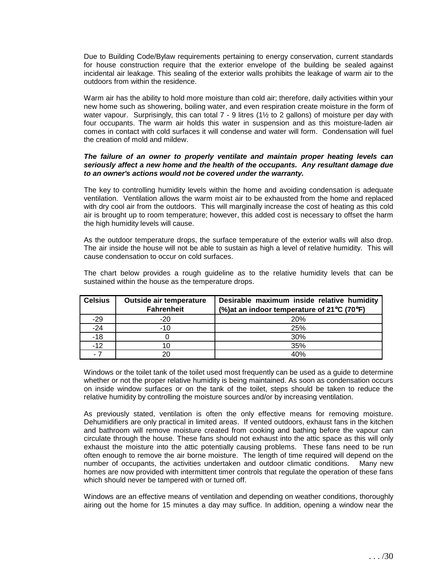Due to Building Code/Bylaw requirements pertaining to energy conservation, current standards for house construction require that the exterior envelope of the building be sealed against incidental air leakage. This sealing of the exterior walls prohibits the leakage of warm air to the outdoors from within the residence.

Warm air has the ability to hold more moisture than cold air; therefore, daily activities within your new home such as showering, boiling water, and even respiration create moisture in the form of water vapour. Surprisingly, this can total 7 - 9 litres (1½ to 2 gallons) of moisture per day with four occupants. The warm air holds this water in suspension and as this moisture-laden air comes in contact with cold surfaces it will condense and water will form. Condensation will fuel the creation of mold and mildew.

#### **The failure of an owner to properly ventilate and maintain proper heating levels can seriously affect a new home and the health of the occupants. Any resultant damage due to an owner's actions would not be covered under the warranty.**

The key to controlling humidity levels within the home and avoiding condensation is adequate ventilation. Ventilation allows the warm moist air to be exhausted from the home and replaced with dry cool air from the outdoors. This will marginally increase the cost of heating as this cold air is brought up to room temperature; however, this added cost is necessary to offset the harm the high humidity levels will cause.

As the outdoor temperature drops, the surface temperature of the exterior walls will also drop. The air inside the house will not be able to sustain as high a level of relative humidity. This will cause condensation to occur on cold surfaces.

The chart below provides a rough guideline as to the relative humidity levels that can be sustained within the house as the temperature drops.

| <b>Celsius</b> | Outside air temperature<br><b>Fahrenheit</b> | Desirable maximum inside relative humidity<br>(%) at an indoor temperature of 21°C (70°F) |
|----------------|----------------------------------------------|-------------------------------------------------------------------------------------------|
| $-29$          | $-20$                                        | 20%                                                                                       |
| $-24$          | $-10$                                        | 25%                                                                                       |
| $-18$          |                                              | 30%                                                                                       |
| $-12$          |                                              | 35%                                                                                       |
| - 7            |                                              | 40%                                                                                       |

Windows or the toilet tank of the toilet used most frequently can be used as a guide to determine whether or not the proper relative humidity is being maintained. As soon as condensation occurs on inside window surfaces or on the tank of the toilet, steps should be taken to reduce the relative humidity by controlling the moisture sources and/or by increasing ventilation.

As previously stated, ventilation is often the only effective means for removing moisture. Dehumidifiers are only practical in limited areas. If vented outdoors, exhaust fans in the kitchen and bathroom will remove moisture created from cooking and bathing before the vapour can circulate through the house. These fans should not exhaust into the attic space as this will only exhaust the moisture into the attic potentially causing problems. These fans need to be run often enough to remove the air borne moisture. The length of time required will depend on the number of occupants, the activities undertaken and outdoor climatic conditions. Many new homes are now provided with intermittent timer controls that regulate the operation of these fans which should never be tampered with or turned off.

Windows are an effective means of ventilation and depending on weather conditions, thoroughly airing out the home for 15 minutes a day may suffice. In addition, opening a window near the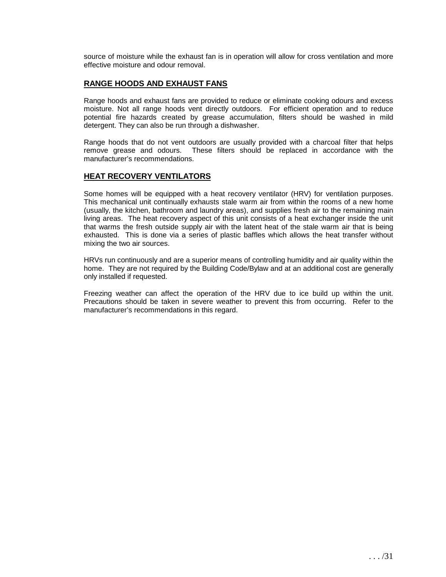source of moisture while the exhaust fan is in operation will allow for cross ventilation and more effective moisture and odour removal.

#### **RANGE HOODS AND EXHAUST FANS**

Range hoods and exhaust fans are provided to reduce or eliminate cooking odours and excess moisture. Not all range hoods vent directly outdoors. For efficient operation and to reduce potential fire hazards created by grease accumulation, filters should be washed in mild detergent. They can also be run through a dishwasher.

Range hoods that do not vent outdoors are usually provided with a charcoal filter that helps remove grease and odours. These filters should be replaced in accordance with the manufacturer's recommendations.

## **HEAT RECOVERY VENTILATORS**

Some homes will be equipped with a heat recovery ventilator (HRV) for ventilation purposes. This mechanical unit continually exhausts stale warm air from within the rooms of a new home (usually, the kitchen, bathroom and laundry areas), and supplies fresh air to the remaining main living areas. The heat recovery aspect of this unit consists of a heat exchanger inside the unit that warms the fresh outside supply air with the latent heat of the stale warm air that is being exhausted. This is done via a series of plastic baffles which allows the heat transfer without mixing the two air sources.

HRVs run continuously and are a superior means of controlling humidity and air quality within the home. They are not required by the Building Code/Bylaw and at an additional cost are generally only installed if requested.

Freezing weather can affect the operation of the HRV due to ice build up within the unit. Precautions should be taken in severe weather to prevent this from occurring. Refer to the manufacturer's recommendations in this regard.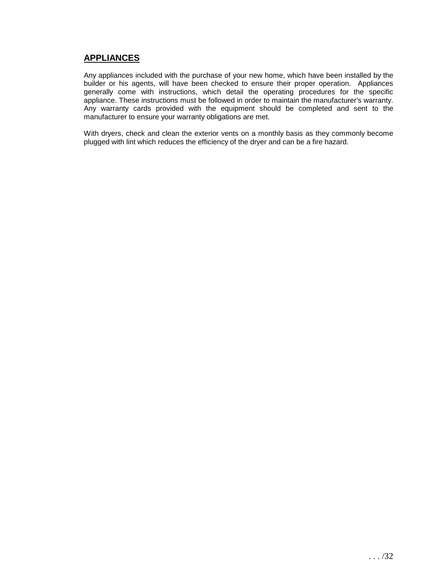# **APPLIANCES**

Any appliances included with the purchase of your new home, which have been installed by the builder or his agents, will have been checked to ensure their proper operation. Appliances generally come with instructions, which detail the operating procedures for the specific appliance. These instructions must be followed in order to maintain the manufacturer's warranty. Any warranty cards provided with the equipment should be completed and sent to the manufacturer to ensure your warranty obligations are met.

With dryers, check and clean the exterior vents on a monthly basis as they commonly become plugged with lint which reduces the efficiency of the dryer and can be a fire hazard.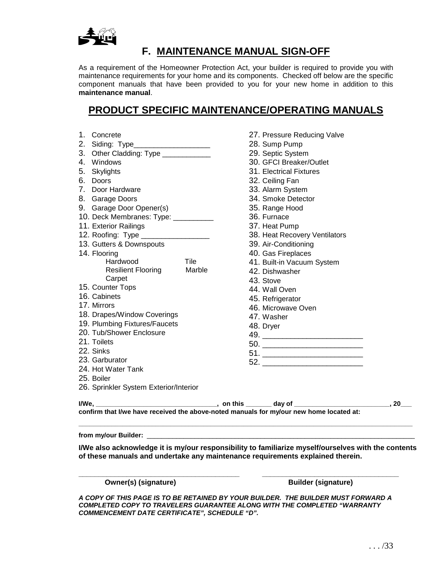

# **F. MAINTENANCE MANUAL SIGN-OFF**

As a requirement of the Homeowner Protection Act, your builder is required to provide you with maintenance requirements for your home and its components. Checked off below are the specific component manuals that have been provided to you for your new home in addition to this **maintenance manual**.

# **PRODUCT SPECIFIC MAINTENANCE/OPERATING MANUALS**

| 1. Concrete                            |        | 27. Pressure Reducing Valve   |    |
|----------------------------------------|--------|-------------------------------|----|
| 2. Siding: Type______________________  |        | 28. Sump Pump                 |    |
| 3. Other Cladding: Type ____________   |        | 29. Septic System             |    |
| 4. Windows                             |        | 30. GFCI Breaker/Outlet       |    |
| 5. Skylights                           |        | 31. Electrical Fixtures       |    |
| 6. Doors                               |        | 32. Ceiling Fan               |    |
| 7. Door Hardware                       |        | 33. Alarm System              |    |
| 8. Garage Doors                        |        | 34. Smoke Detector            |    |
| 9. Garage Door Opener(s)               |        | 35. Range Hood                |    |
| 10. Deck Membranes: Type: __________   |        | 36. Furnace                   |    |
| 11. Exterior Railings                  |        | 37. Heat Pump                 |    |
| 12. Roofing: Type __________________   |        | 38. Heat Recovery Ventilators |    |
| 13. Gutters & Downspouts               |        | 39. Air-Conditioning          |    |
| 14. Flooring                           |        | 40. Gas Fireplaces            |    |
| Hardwood                               | Tile   | 41. Built-in Vacuum System    |    |
| <b>Resilient Flooring</b>              | Marble | 42. Dishwasher                |    |
| Carpet                                 |        | 43. Stove                     |    |
| 15. Counter Tops                       |        | 44. Wall Oven                 |    |
| 16. Cabinets                           |        | 45. Refrigerator              |    |
| 17. Mirrors                            |        | 46. Microwave Oven            |    |
| 18. Drapes/Window Coverings            |        | 47. Washer                    |    |
| 19. Plumbing Fixtures/Faucets          |        | 48. Dryer                     |    |
| 20. Tub/Shower Enclosure               |        |                               |    |
| 21. Toilets                            |        | 50.                           |    |
| 22. Sinks                              |        |                               |    |
| 23. Garburator                         |        |                               |    |
| 24. Hot Water Tank                     |        |                               |    |
| 25. Boiler                             |        |                               |    |
| 26. Sprinkler System Exterior/Interior |        |                               |    |
|                                        |        |                               | 20 |
|                                        |        |                               |    |

**\_\_\_\_\_\_\_\_\_\_\_\_\_\_\_\_\_\_\_\_\_\_\_\_\_\_\_\_\_\_\_\_\_\_\_\_\_\_\_\_\_\_\_\_\_\_\_\_\_\_\_\_\_\_\_\_\_\_\_\_\_\_\_\_\_\_\_\_\_\_\_\_\_\_\_\_\_\_\_\_\_\_\_\_\_\_\_\_\_\_\_**  from my/our Builder: \_

**I/We also acknowledge it is my/our responsibility to familiarize myself/ourselves with the contents of these manuals and undertake any maintenance requirements explained therein.** 

**Owner(s) (signature)**  Builder (signature)

**\_\_\_\_\_\_\_\_\_\_\_\_\_\_\_\_\_\_\_\_\_\_\_\_\_\_\_\_\_\_\_\_\_\_\_\_\_\_\_\_ \_\_\_\_\_\_\_\_\_\_\_\_\_\_\_\_\_\_\_\_\_\_\_\_\_\_\_\_\_\_\_\_\_\_** 

**A COPY OF THIS PAGE IS TO BE RETAINED BY YOUR BUILDER. THE BUILDER MUST FORWARD A COMPLETED COPY TO TRAVELERS GUARANTEE ALONG WITH THE COMPLETED "WARRANTY COMMENCEMENT DATE CERTIFICATE", SCHEDULE "D".**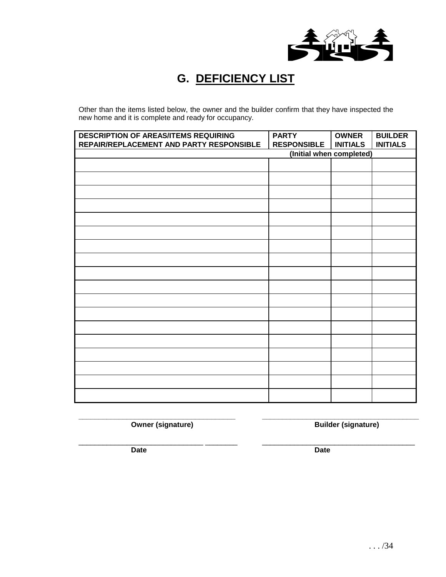

# **G. DEFICIENCY LIST**

Other than the items listed below, the owner and the builder confirm that they have inspected the new home and it is complete and ready for occupancy.

| <b>DESCRIPTION OF AREAS/ITEMS REQUIRING</b><br>REPAIR/REPLACEMENT AND PARTY RESPONSIBLE | <b>PARTY</b><br><b>RESPONSIBLE</b> | <b>OWNER</b><br><b>INITIALS</b> | <b>BUILDER</b><br><b>INITIALS</b> |
|-----------------------------------------------------------------------------------------|------------------------------------|---------------------------------|-----------------------------------|
|                                                                                         | (Initial when completed)           |                                 |                                   |
|                                                                                         |                                    |                                 |                                   |
|                                                                                         |                                    |                                 |                                   |
|                                                                                         |                                    |                                 |                                   |
|                                                                                         |                                    |                                 |                                   |
|                                                                                         |                                    |                                 |                                   |
|                                                                                         |                                    |                                 |                                   |
|                                                                                         |                                    |                                 |                                   |
|                                                                                         |                                    |                                 |                                   |
|                                                                                         |                                    |                                 |                                   |
|                                                                                         |                                    |                                 |                                   |
|                                                                                         |                                    |                                 |                                   |
|                                                                                         |                                    |                                 |                                   |
|                                                                                         |                                    |                                 |                                   |
|                                                                                         |                                    |                                 |                                   |
|                                                                                         |                                    |                                 |                                   |
|                                                                                         |                                    |                                 |                                   |
|                                                                                         |                                    |                                 |                                   |
|                                                                                         |                                    |                                 |                                   |

**\_\_\_\_\_\_\_\_\_\_\_\_\_\_\_\_\_\_\_\_\_\_\_\_\_\_\_\_\_\_\_\_\_\_\_\_\_\_\_ \_\_\_\_\_\_\_\_\_\_\_\_\_\_\_\_\_\_\_\_\_\_\_\_\_\_\_\_\_\_\_\_\_\_\_\_\_\_\_** 

**Owner (signature) COVER 19 and SUI ALCONDUCTER EVALUATE:** Builder (signature)

\_\_\_\_\_\_\_\_\_\_\_\_\_\_\_\_\_\_\_\_\_\_\_\_\_\_\_\_\_\_\_ \_\_\_\_\_\_\_\_ \_\_\_\_\_\_\_\_\_\_\_\_\_\_\_\_\_\_\_\_\_\_\_\_\_\_\_\_\_\_\_\_\_\_\_\_\_\_

**Date** Date **Date Date**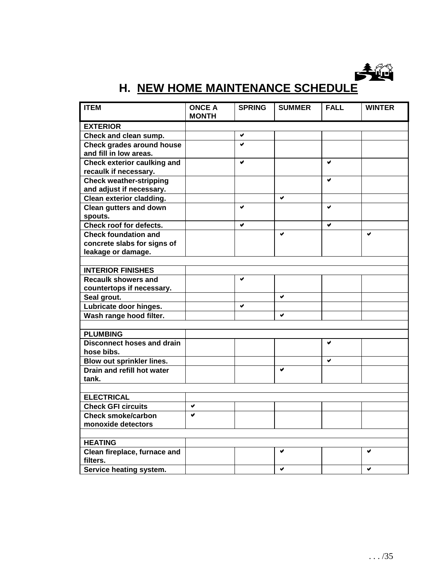

# **H. NEW HOME MAINTENANCE SCHEDULE**

| <b>MONTH</b><br><b>EXTERIOR</b><br>Check and clean sump.<br>v      | <b>ITEM</b> | <b>ONCE A</b> | <b>SPRING</b> | <b>SUMMER</b> | <b>FALL</b> | <b>WINTER</b> |
|--------------------------------------------------------------------|-------------|---------------|---------------|---------------|-------------|---------------|
|                                                                    |             |               |               |               |             |               |
|                                                                    |             |               |               |               |             |               |
|                                                                    |             |               |               |               |             |               |
| $\bullet$<br><b>Check grades around house</b>                      |             |               |               |               |             |               |
| and fill in low areas.                                             |             |               |               |               |             |               |
| <b>Check exterior caulking and</b><br>V<br>V                       |             |               |               |               |             |               |
| recaulk if necessary.                                              |             |               |               |               |             |               |
| <b>Check weather-stripping</b><br>✔                                |             |               |               |               |             |               |
| and adjust if necessary.                                           |             |               |               |               |             |               |
| Clean exterior cladding.<br>✔                                      |             |               |               |               |             |               |
| <b>Clean gutters and down</b><br>V<br>V                            |             |               |               |               |             |               |
| spouts.                                                            |             |               |               |               |             |               |
| Check roof for defects.<br>✔<br>✔                                  |             |               |               |               |             |               |
| <b>Check foundation and</b><br>$\blacktriangledown$<br>$\mathbf v$ |             |               |               |               |             |               |
| concrete slabs for signs of                                        |             |               |               |               |             |               |
| leakage or damage.                                                 |             |               |               |               |             |               |
|                                                                    |             |               |               |               |             |               |
| <b>INTERIOR FINISHES</b>                                           |             |               |               |               |             |               |
| <b>Recaulk showers and</b><br>V                                    |             |               |               |               |             |               |
| countertops if necessary.                                          |             |               |               |               |             |               |
| $\blacktriangledown$<br>Seal grout.                                |             |               |               |               |             |               |
| Lubricate door hinges.<br>V                                        |             |               |               |               |             |               |
| Wash range hood filter.<br>✔                                       |             |               |               |               |             |               |
|                                                                    |             |               |               |               |             |               |
| <b>PLUMBING</b>                                                    |             |               |               |               |             |               |
| <b>Disconnect hoses and drain</b><br>✔                             |             |               |               |               |             |               |
| hose bibs.                                                         |             |               |               |               |             |               |
| Blow out sprinkler lines.<br>✔                                     |             |               |               |               |             |               |
| Drain and refill hot water<br>$\blacktriangleright$                |             |               |               |               |             |               |
| tank.                                                              |             |               |               |               |             |               |
|                                                                    |             |               |               |               |             |               |
| <b>ELECTRICAL</b>                                                  |             |               |               |               |             |               |
| <b>Check GFI circuits</b><br>✔                                     |             |               |               |               |             |               |
| <b>Check smoke/carbon</b><br>Ø                                     |             |               |               |               |             |               |
| monoxide detectors                                                 |             |               |               |               |             |               |
|                                                                    |             |               |               |               |             |               |
| <b>HEATING</b>                                                     |             |               |               |               |             |               |
| Clean fireplace, furnace and<br>v<br>v<br>filters.                 |             |               |               |               |             |               |
| Service heating system.<br>$\checkmark$<br>$\checkmark$            |             |               |               |               |             |               |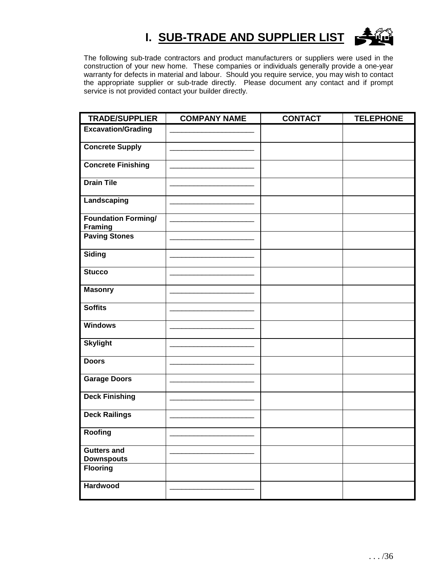# **I. SUB-TRADE AND SUPPLIER LIST**



The following sub-trade contractors and product manufacturers or suppliers were used in the construction of your new home. These companies or individuals generally provide a one-year warranty for defects in material and labour. Should you require service, you may wish to contact the appropriate supplier or sub-trade directly. Please document any contact and if prompt service is not provided contact your builder directly.

| <b>TRADE/SUPPLIER</b>                        | <b>COMPANY NAME</b> | <b>CONTACT</b> | <b>TELEPHONE</b> |
|----------------------------------------------|---------------------|----------------|------------------|
| <b>Excavation/Grading</b>                    |                     |                |                  |
| <b>Concrete Supply</b>                       |                     |                |                  |
| <b>Concrete Finishing</b>                    |                     |                |                  |
| <b>Drain Tile</b>                            |                     |                |                  |
| Landscaping                                  |                     |                |                  |
| <b>Foundation Forming/</b><br><b>Framing</b> |                     |                |                  |
| <b>Paving Stones</b>                         |                     |                |                  |
| <b>Siding</b>                                |                     |                |                  |
| <b>Stucco</b>                                |                     |                |                  |
| <b>Masonry</b>                               |                     |                |                  |
| <b>Soffits</b>                               |                     |                |                  |
| <b>Windows</b>                               |                     |                |                  |
| <b>Skylight</b>                              |                     |                |                  |
| <b>Doors</b>                                 |                     |                |                  |
| <b>Garage Doors</b>                          |                     |                |                  |
| <b>Deck Finishing</b>                        |                     |                |                  |
| <b>Deck Railings</b>                         |                     |                |                  |
| Roofing                                      |                     |                |                  |
| <b>Gutters and</b><br><b>Downspouts</b>      |                     |                |                  |
| <b>Flooring</b>                              |                     |                |                  |
| Hardwood                                     |                     |                |                  |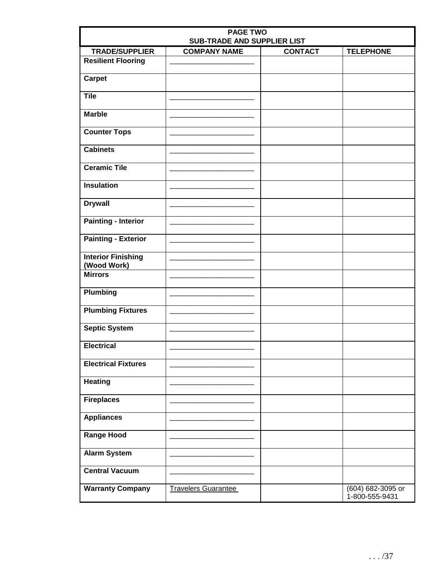| <b>PAGE TWO</b><br><b>SUB-TRADE AND SUPPLIER LIST</b> |                            |                |                                     |  |  |  |
|-------------------------------------------------------|----------------------------|----------------|-------------------------------------|--|--|--|
| <b>TRADE/SUPPLIER</b>                                 | <b>COMPANY NAME</b>        | <b>CONTACT</b> | <b>TELEPHONE</b>                    |  |  |  |
| <b>Resilient Flooring</b>                             |                            |                |                                     |  |  |  |
| <b>Carpet</b>                                         |                            |                |                                     |  |  |  |
| <b>Tile</b>                                           |                            |                |                                     |  |  |  |
| <b>Marble</b>                                         |                            |                |                                     |  |  |  |
| <b>Counter Tops</b>                                   |                            |                |                                     |  |  |  |
| <b>Cabinets</b>                                       |                            |                |                                     |  |  |  |
| <b>Ceramic Tile</b>                                   |                            |                |                                     |  |  |  |
| <b>Insulation</b>                                     |                            |                |                                     |  |  |  |
| <b>Drywall</b>                                        |                            |                |                                     |  |  |  |
| <b>Painting - Interior</b>                            |                            |                |                                     |  |  |  |
| <b>Painting - Exterior</b>                            |                            |                |                                     |  |  |  |
| <b>Interior Finishing</b><br>(Wood Work)              |                            |                |                                     |  |  |  |
| <b>Mirrors</b>                                        |                            |                |                                     |  |  |  |
| <b>Plumbing</b>                                       |                            |                |                                     |  |  |  |
| <b>Plumbing Fixtures</b>                              |                            |                |                                     |  |  |  |
| <b>Septic System</b>                                  |                            |                |                                     |  |  |  |
| <b>Electrical</b>                                     |                            |                |                                     |  |  |  |
| <b>Electrical Fixtures</b>                            |                            |                |                                     |  |  |  |
| <b>Heating</b>                                        |                            |                |                                     |  |  |  |
| <b>Fireplaces</b>                                     |                            |                |                                     |  |  |  |
| <b>Appliances</b>                                     |                            |                |                                     |  |  |  |
| <b>Range Hood</b>                                     |                            |                |                                     |  |  |  |
| <b>Alarm System</b>                                   |                            |                |                                     |  |  |  |
| <b>Central Vacuum</b>                                 |                            |                |                                     |  |  |  |
| <b>Warranty Company</b>                               | <b>Travelers Guarantee</b> |                | (604) 682-3095 or<br>1-800-555-9431 |  |  |  |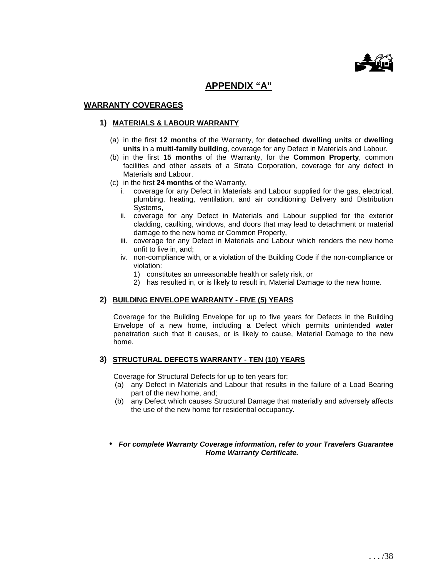

# **APPENDIX "A"**

#### **WARRANTY COVERAGES**

#### **1) MATERIALS & LABOUR WARRANTY**

- (a) in the first **12 months** of the Warranty, for **detached dwelling units** or **dwelling units** in a **multi-family building**, coverage for any Defect in Materials and Labour.
- (b) in the first **15 months** of the Warranty, for the **Common Property**, common facilities and other assets of a Strata Corporation, coverage for any defect in Materials and Labour.
- (c) in the first **24 months** of the Warranty,
	- i. coverage for any Defect in Materials and Labour supplied for the gas, electrical, plumbing, heating, ventilation, and air conditioning Delivery and Distribution Systems,
	- ii. coverage for any Defect in Materials and Labour supplied for the exterior cladding, caulking, windows, and doors that may lead to detachment or material damage to the new home or Common Property,
	- iii. coverage for any Defect in Materials and Labour which renders the new home unfit to live in, and;
	- iv. non-compliance with, or a violation of the Building Code if the non-compliance or violation:
		- 1) constitutes an unreasonable health or safety risk, or
		- 2) has resulted in, or is likely to result in, Material Damage to the new home.

#### **2) BUILDING ENVELOPE WARRANTY - FIVE (5) YEARS**

Coverage for the Building Envelope for up to five years for Defects in the Building Envelope of a new home, including a Defect which permits unintended water penetration such that it causes, or is likely to cause, Material Damage to the new home.

#### **3) STRUCTURAL DEFECTS WARRANTY - TEN (10) YEARS**

Coverage for Structural Defects for up to ten years for:

- (a) any Defect in Materials and Labour that results in the failure of a Load Bearing part of the new home, and;
- (b) any Defect which causes Structural Damage that materially and adversely affects the use of the new home for residential occupancy.
- **For complete Warranty Coverage information, refer to your Travelers Guarantee Home Warranty Certificate.**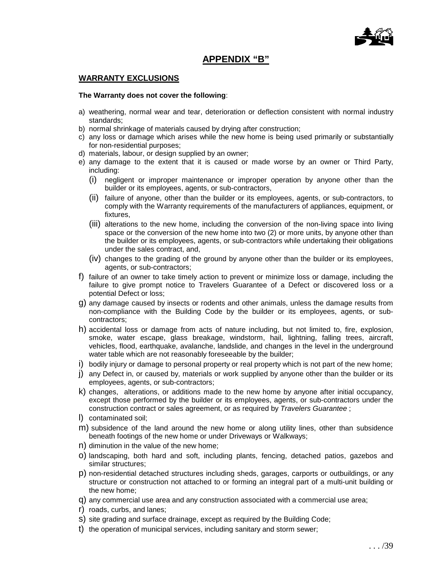

# **APPENDIX "B"**

#### **WARRANTY EXCLUSIONS**

#### **The Warranty does not cover the following**:

- a) weathering, normal wear and tear, deterioration or deflection consistent with normal industry standards;
- b) normal shrinkage of materials caused by drying after construction;
- c) any loss or damage which arises while the new home is being used primarily or substantially for non-residential purposes;
- d) materials, labour, or design supplied by an owner;
- e) any damage to the extent that it is caused or made worse by an owner or Third Party, including:
	- (i) negligent or improper maintenance or improper operation by anyone other than the builder or its employees, agents, or sub-contractors,
	- (ii) failure of anyone, other than the builder or its employees, agents, or sub-contractors, to comply with the Warranty requirements of the manufacturers of appliances, equipment, or fixtures,
	- (iii) alterations to the new home, including the conversion of the non-living space into living space or the conversion of the new home into two (2) or more units, by anyone other than the builder or its employees, agents, or sub-contractors while undertaking their obligations under the sales contract, and,
	- (iv) changes to the grading of the ground by anyone other than the builder or its employees, agents, or sub-contractors;
- f) failure of an owner to take timely action to prevent or minimize loss or damage, including the failure to give prompt notice to Travelers Guarantee of a Defect or discovered loss or a potential Defect or loss;
- g) any damage caused by insects or rodents and other animals, unless the damage results from non-compliance with the Building Code by the builder or its employees, agents, or subcontractors;
- h) accidental loss or damage from acts of nature including, but not limited to, fire, explosion, smoke, water escape, glass breakage, windstorm, hail, lightning, falling trees, aircraft, vehicles, flood, earthquake, avalanche, landslide, and changes in the level in the underground water table which are not reasonably foreseeable by the builder;
- i) bodily injury or damage to personal property or real property which is not part of the new home;
- j) any Defect in, or caused by, materials or work supplied by anyone other than the builder or its employees, agents, or sub-contractors;
- k) changes, alterations, or additions made to the new home by anyone after initial occupancy, except those performed by the builder or its employees, agents, or sub-contractors under the construction contract or sales agreement, or as required by Travelers Guarantee ;
- l) contaminated soil;
- m) subsidence of the land around the new home or along utility lines, other than subsidence beneath footings of the new home or under Driveways or Walkways;
- n) diminution in the value of the new home;
- o) landscaping, both hard and soft, including plants, fencing, detached patios, gazebos and similar structures;
- p) non-residential detached structures including sheds, garages, carports or outbuildings, or any structure or construction not attached to or forming an integral part of a multi-unit building or the new home;
- q) any commercial use area and any construction associated with a commercial use area;
- r) roads, curbs, and lanes;
- s) site grading and surface drainage, except as required by the Building Code;
- t) the operation of municipal services, including sanitary and storm sewer;